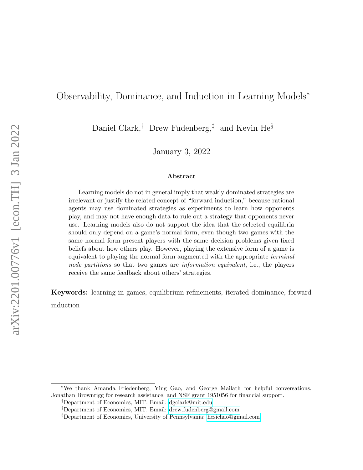# Observability, Dominance, and Induction in Learning Models<sup>∗</sup>

Daniel Clark,† Drew Fudenberg,‡ and Kevin He§

January 3, 2022

#### Abstract

Learning models do not in general imply that weakly dominated strategies are irrelevant or justify the related concept of "forward induction," because rational agents may use dominated strategies as experiments to learn how opponents play, and may not have enough data to rule out a strategy that opponents never use. Learning models also do not support the idea that the selected equilibria should only depend on a game's normal form, even though two games with the same normal form present players with the same decision problems given fixed beliefs about how others play. However, playing the extensive form of a game is equivalent to playing the normal form augmented with the appropriate terminal node partitions so that two games are *information equivalent*, i.e., the players receive the same feedback about others' strategies.

Keywords: learning in games, equilibrium refinements, iterated dominance, forward induction

<sup>∗</sup>We thank Amanda Friedenberg, Ying Gao, and George Mailath for helpful conversations, Jonathan Brownrigg for research assistance, and NSF grant 1951056 for financial support.

<sup>†</sup>Department of Economics, MIT. Email: [dgclark@mit.edu](mailto:dgclark@mit.edu)

<sup>‡</sup>Department of Economics, MIT. Email: [drew.fudenberg@gmail.com](mailto:drew.fudenberg@gmail.com)

<sup>§</sup>Department of Economics, University of Pennsylvania: [hesichao@gmail.com](mailto:hesichao@gmail.com)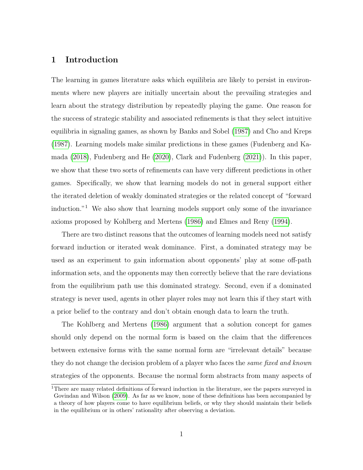# 1 Introduction

The learning in games literature asks which equilibria are likely to persist in environments where new players are initially uncertain about the prevailing strategies and learn about the strategy distribution by repeatedly playing the game. One reason for the success of strategic stability and associated refinements is that they select intuitive equilibria in signaling games, as shown by Banks and Sobel [\(1987\)](#page-24-0) and Cho and Kreps [\(1987\)](#page-24-1). Learning models make similar predictions in these games (Fudenberg and Kamada [\(2018\)](#page-24-2), Fudenberg and He [\(2020\)](#page-24-3), Clark and Fudenberg [\(2021\)](#page-24-4)). In this paper, we show that these two sorts of refinements can have very different predictions in other games. Specifically, we show that learning models do not in general support either the iterated deletion of weakly dominated strategies or the related concept of "forward induction."<sup>1</sup> We also show that learning models support only some of the invariance axioms proposed by Kohlberg and Mertens [\(1986\)](#page-25-0) and Elmes and Reny [\(1994\)](#page-24-5).

There are two distinct reasons that the outcomes of learning models need not satisfy forward induction or iterated weak dominance. First, a dominated strategy may be used as an experiment to gain information about opponents' play at some off-path information sets, and the opponents may then correctly believe that the rare deviations from the equilibrium path use this dominated strategy. Second, even if a dominated strategy is never used, agents in other player roles may not learn this if they start with a prior belief to the contrary and don't obtain enough data to learn the truth.

The Kohlberg and Mertens [\(1986\)](#page-25-0) argument that a solution concept for games should only depend on the normal form is based on the claim that the differences between extensive forms with the same normal form are "irrelevant details" because they do not change the decision problem of a player who faces the *same fixed and known* strategies of the opponents. Because the normal form abstracts from many aspects of

<sup>&</sup>lt;sup>1</sup>There are many related definitions of forward induction in the literature, see the papers surveyed in Govindan and Wilson [\(2009\)](#page-25-1). As far as we know, none of these definitions has been accompanied by a theory of how players come to have equilibrium beliefs, or why they should maintain their beliefs in the equilibrium or in others' rationality after observing a deviation.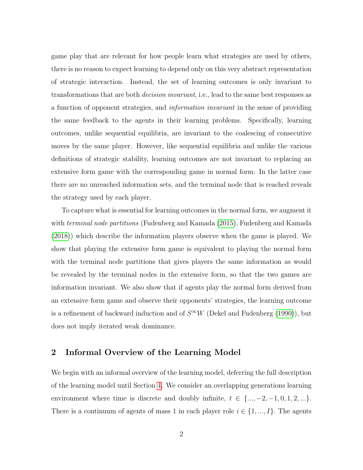game play that are relevant for how people learn what strategies are used by others, there is no reason to expect learning to depend only on this very abstract representation of strategic interaction. Instead, the set of learning outcomes is only invariant to transformations that are both decision invariant, i.e., lead to the same best responses as a function of opponent strategies, and information invariant in the sense of providing the same feedback to the agents in their learning problems. Specifically, learning outcomes, unlike sequential equilibria, are invariant to the coalescing of consecutive moves by the same player. However, like sequential equilibria and unlike the various definitions of strategic stability, learning outcomes are not invariant to replacing an extensive form game with the corresponding game in normal form: In the latter case there are no unreached information sets, and the terminal node that is reached reveals the strategy used by each player.

To capture what is essential for learning outcomes in the normal form, we augment it with *terminal node partitions* (Fudenberg and Kamada [\(2015\)](#page-24-6), Fudenberg and Kamada [\(2018\)](#page-24-2)) which describe the information players observe when the game is played. We show that playing the extensive form game is equivalent to playing the normal form with the terminal node partitions that gives players the same information as would be revealed by the terminal nodes in the extensive form, so that the two games are information invariant. We also show that if agents play the normal form derived from an extensive form game and observe their opponents' strategies, the learning outcome is a refinement of backward induction and of  $S^{\infty}W$  (Dekel and Fudenberg [\(1990\)](#page-24-7)), but does not imply iterated weak dominance.

# 2 Informal Overview of the Learning Model

We begin with an informal overview of the learning model, deferring the full description of the learning model until Section [4.](#page-11-0) We consider an overlapping generations learning environment where time is discrete and doubly infinite,  $t \in \{\ldots, -2, -1, 0, 1, 2, \ldots\}$ . There is a continuum of agents of mass 1 in each player role  $i \in \{1, ..., I\}$ . The agents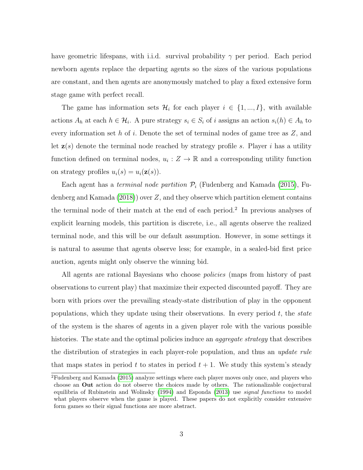have geometric lifespans, with i.i.d. survival probability  $\gamma$  per period. Each period newborn agents replace the departing agents so the sizes of the various populations are constant, and then agents are anonymously matched to play a fixed extensive form stage game with perfect recall.

The game has information sets  $\mathcal{H}_i$  for each player  $i \in \{1, ..., I\}$ , with available actions  $A_h$  at each  $h \in \mathcal{H}_i$ . A pure strategy  $s_i \in S_i$  of i assigns an action  $s_i(h) \in A_h$  to every information set  $h$  of  $i$ . Denote the set of terminal nodes of game tree as  $Z$ , and let  $z(s)$  denote the terminal node reached by strategy profile s. Player i has a utility function defined on terminal nodes,  $u_i: Z \to \mathbb{R}$  and a corresponding utility function on strategy profiles  $u_i(s) = u_i(\mathbf{z}(s))$ .

Each agent has a *terminal node partition*  $P_i$  (Fudenberg and Kamada [\(2015\)](#page-24-6), Fudenberg and Kamada  $(2018)$  over Z, and they observe which partition element contains the terminal node of their match at the end of each period.<sup>2</sup> In previous analyses of explicit learning models, this partition is discrete, i.e., all agents observe the realized terminal node, and this will be our default assumption. However, in some settings it is natural to assume that agents observe less; for example, in a sealed-bid first price auction, agents might only observe the winning bid.

All agents are rational Bayesians who choose *policies* (maps from history of past observations to current play) that maximize their expected discounted payoff. They are born with priors over the prevailing steady-state distribution of play in the opponent populations, which they update using their observations. In every period  $t$ , the state of the system is the shares of agents in a given player role with the various possible histories. The state and the optimal policies induce an *aggregate strategy* that describes the distribution of strategies in each player-role population, and thus an *update rule* that maps states in period t to states in period  $t + 1$ . We study this system's steady

<sup>2</sup>Fudenberg and Kamada [\(2015\)](#page-24-6) analyze settings where each player moves only once, and players who choose an Out action do not observe the choices made by others. The rationalizable conjectural equilibria of Rubinstein and Wolinsky [\(1994\)](#page-25-2) and Esponda [\(2013\)](#page-24-8) use signal functions to model what players observe when the game is played. These papers do not explicitly consider extensive form games so their signal functions are more abstract.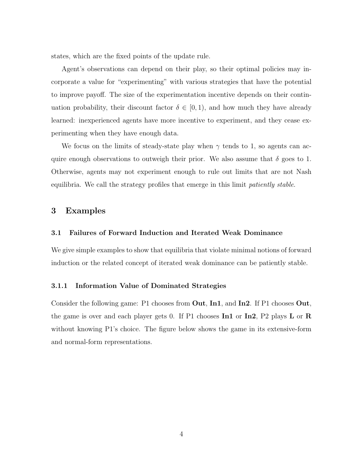states, which are the fixed points of the update rule.

Agent's observations can depend on their play, so their optimal policies may incorporate a value for "experimenting" with various strategies that have the potential to improve payoff. The size of the experimentation incentive depends on their continuation probability, their discount factor  $\delta \in [0,1)$ , and how much they have already learned: inexperienced agents have more incentive to experiment, and they cease experimenting when they have enough data.

We focus on the limits of steady-state play when  $\gamma$  tends to 1, so agents can acquire enough observations to outweigh their prior. We also assume that  $\delta$  goes to 1. Otherwise, agents may not experiment enough to rule out limits that are not Nash equilibria. We call the strategy profiles that emerge in this limit patiently stable.

# 3 Examples

#### 3.1 Failures of Forward Induction and Iterated Weak Dominance

We give simple examples to show that equilibria that violate minimal notions of forward induction or the related concept of iterated weak dominance can be patiently stable.

#### <span id="page-4-0"></span>3.1.1 Information Value of Dominated Strategies

Consider the following game: P1 chooses from Out, In1, and In2. If P1 chooses Out, the game is over and each player gets 0. If P1 chooses  $\text{In1}$  or  $\text{In2}$ , P2 plays L or R without knowing P1's choice. The figure below shows the game in its extensive-form and normal-form representations.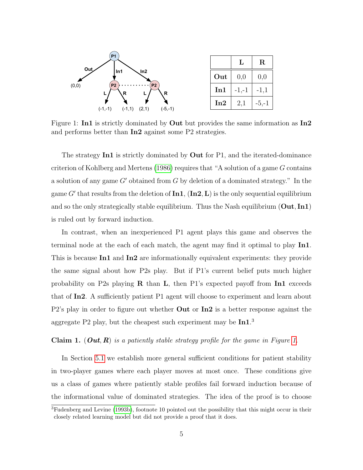<span id="page-5-0"></span>

Figure 1: **In1** is strictly dominated by **Out** but provides the same information as **In2** and performs better than In2 against some P2 strategies.

The strategy  $\text{In1}$  is strictly dominated by Out for P1, and the iterated-dominance criterion of Kohlberg and Mertens [\(1986\)](#page-25-0) requires that "A solution of a game G contains a solution of any game  $G'$  obtained from G by deletion of a dominated strategy." In the game G' that results from the deletion of  $\text{In1}, (\text{In2}, L)$  is the only sequential equilibrium and so the only strategically stable equilibrium. Thus the Nash equilibrium  $(Out, In1)$ is ruled out by forward induction.

In contrast, when an inexperienced P1 agent plays this game and observes the terminal node at the each of each match, the agent may find it optimal to play In1. This is because In1 and In2 are informationally equivalent experiments: they provide the same signal about how P2s play. But if P1's current belief puts much higher probability on P2s playing  $\bf{R}$  than  $\bf{L}$ , then P1's expected payoff from  $\bf{In1}$  exceeds that of In2. A sufficiently patient P1 agent will choose to experiment and learn about P2's play in order to figure out whether Out or In2 is a better response against the aggregate P2 play, but the cheapest such experiment may be In1.<sup>3</sup>

<span id="page-5-1"></span>**Claim [1.](#page-5-0)** (*Out, R*) is a patiently stable strategy profile for the game in Figure 1.

In Section [5.1](#page-14-0) we establish more general sufficient conditions for patient stability in two-player games where each player moves at most once. These conditions give us a class of games where patiently stable profiles fail forward induction because of the informational value of dominated strategies. The idea of the proof is to choose

<sup>3</sup>Fudenberg and Levine [\(1993b\)](#page-25-3), footnote 10 pointed out the possibility that this might occur in their closely related learning model but did not provide a proof that it does.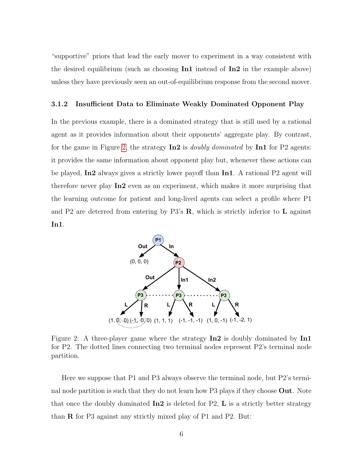"supportive" priors that lead the early mover to experiment in a way consistent with the desired equilibrium (such as choosing  $\text{In1}$  instead of  $\text{In2}$  in the example above) unless they have previously seen an out-of-equilibrium response from the second mover.

## <span id="page-6-1"></span>3.1.2 Insufficient Data to Eliminate Weakly Dominated Opponent Play

In the previous example, there is a dominated strategy that is still used by a rational agent as it provides information about their opponents' aggregate play. By contrast, for the game in Figure [2,](#page-6-0) the strategy  $\text{In2}$  is *doubly dominated* by  $\text{In1}$  for P2 agents: it provides the same information about opponent play but, whenever these actions can be played, In2 always gives a strictly lower payoff than In1. A rational P2 agent will therefore never play In2 even as an experiment, which makes it more surprising that the learning outcome for patient and long-lived agents can select a profile where P1 and P2 are deterred from entering by P3's R, which is strictly inferior to L against In1.

<span id="page-6-0"></span>

Figure 2: A three-player game where the strategy  $\text{In2}$  is doubly dominated by  $\text{In1}$ for P2. The dotted lines connecting two terminal nodes represent P2's terminal node partition.

Here we suppose that P1 and P3 always observe the terminal node, but P2's terminal node partition is such that they do not learn how P3 plays if they choose Out. Note that once the doubly dominated  $\text{In2}$  is deleted for P2, L is a strictly better strategy than R for P3 against any strictly mixed play of P1 and P2. But: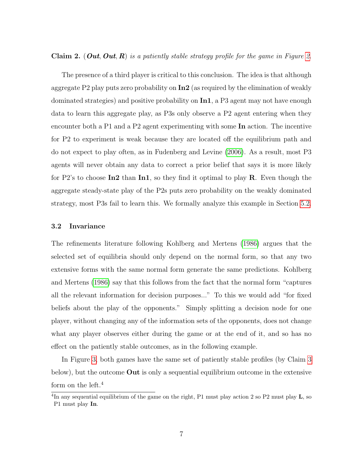#### <span id="page-7-0"></span>**Claim [2.](#page-6-0)** (*Out, Out, R*) is a patiently stable strategy profile for the game in Figure 2.

The presence of a third player is critical to this conclusion. The idea is that although aggregate P2 play puts zero probability on  $\text{In2}$  (as required by the elimination of weakly dominated strategies) and positive probability on In1, a P3 agent may not have enough data to learn this aggregate play, as P3s only observe a P2 agent entering when they encounter both a P1 and a P2 agent experimenting with some In action. The incentive for P2 to experiment is weak because they are located off the equilibrium path and do not expect to play often, as in Fudenberg and Levine [\(2006\)](#page-25-4). As a result, most P3 agents will never obtain any data to correct a prior belief that says it is more likely for P2's to choose  $\text{In2}$  than  $\text{In1}$ , so they find it optimal to play R. Even though the aggregate steady-state play of the P2s puts zero probability on the weakly dominated strategy, most P3s fail to learn this. We formally analyze this example in Section [5.2.](#page-15-0)

#### 3.2 Invariance

The refinements literature following Kohlberg and Mertens [\(1986\)](#page-25-0) argues that the selected set of equilibria should only depend on the normal form, so that any two extensive forms with the same normal form generate the same predictions. Kohlberg and Mertens [\(1986\)](#page-25-0) say that this follows from the fact that the normal form "captures all the relevant information for decision purposes..." To this we would add "for fixed beliefs about the play of the opponents." Simply splitting a decision node for one player, without changing any of the information sets of the opponents, does not change what any player observes either during the game or at the end of it, and so has no effect on the patiently stable outcomes, as in the following example.

In Figure [3,](#page-8-0) both games have the same set of patiently stable profiles (by Claim [3](#page-8-1) below), but the outcome Out is only a sequential equilibrium outcome in the extensive form on the left. $4$ 

<sup>&</sup>lt;sup>4</sup>In any sequential equilibrium of the game on the right, P1 must play action 2 so P2 must play  $\bf{L}$ , so P1 must play In.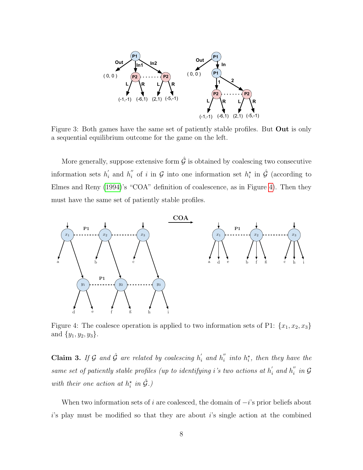<span id="page-8-0"></span>

Figure 3: Both games have the same set of patiently stable profiles. But Out is only a sequential equilibrium outcome for the game on the left.

More generally, suppose extensive form  $\hat{G}$  is obtained by coalescing two consecutive information sets  $h_i'$  $i$  and  $h''_i$  $i \text{ }$  of i in  $\mathcal G$  into one information set  $h_i^*$  in  $\hat{\mathcal G}$  (according to Elmes and Reny [\(1994\)](#page-24-5)'s "COA" definition of coalescence, as in Figure [4\)](#page-8-2). Then they must have the same set of patiently stable profiles.

<span id="page-8-2"></span>

Figure 4: The coalesce operation is applied to two information sets of P1:  $\{x_1, x_2, x_3\}$ and  $\{y_1, y_2, y_3\}.$ 

<span id="page-8-1"></span>**Claim 3.** If G and  $\hat{\mathcal{G}}$  are related by coalescing  $h'_i$  and  $h''_i$  $i'$  into  $h_i^*$ , then they have the same set of patiently stable profiles (up to identifying i's two actions at  $h'_i$  and  $h''_i$  $_{i}^{''}$  in  $\mathcal G$ with their one action at  $h_i^*$  in  $\hat{G}$ .)

When two information sets of i are coalesced, the domain of  $-i$ 's prior beliefs about  $i$ 's play must be modified so that they are about  $i$ 's single action at the combined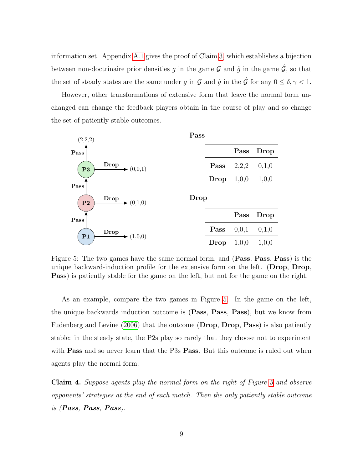information set. Appendix [A.1](#page-26-0) gives the proof of Claim [3,](#page-8-1) which establishes a bijection between non-doctrinaire prior densities g in the game  $\mathcal G$  and  $\hat g$  in the game  $\hat{\mathcal G}$ , so that the set of steady states are the same under g in  $\mathcal G$  and  $\hat g$  in the  $\hat{\mathcal G}$  for any  $0 \le \delta, \gamma < 1$ .

However, other transformations of extensive form that leave the normal form unchanged can change the feedback players obtain in the course of play and so change the set of patiently stable outcomes.

<span id="page-9-0"></span>

Figure 5: The two games have the same normal form, and (Pass, Pass, Pass) is the unique backward-induction profile for the extensive form on the left. (Drop, Drop, Pass) is patiently stable for the game on the left, but not for the game on the right.

As an example, compare the two games in Figure [5.](#page-9-0) In the game on the left, the unique backwards induction outcome is (Pass, Pass, Pass), but we know from Fudenberg and Levine [\(2006\)](#page-25-4) that the outcome (Drop, Drop, Pass) is also patiently stable: in the steady state, the P2s play so rarely that they choose not to experiment with **Pass** and so never learn that the P3s **Pass**. But this outcome is ruled out when agents play the normal form.

Claim 4. Suppose agents play the normal form on the right of Figure [5](#page-9-0) and observe opponents' strategies at the end of each match. Then the only patiently stable outcome is (Pass, Pass, Pass).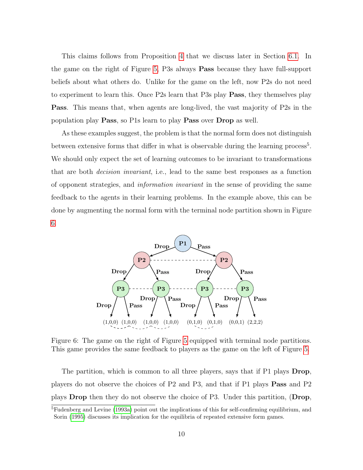This claims follows from Proposition [4](#page-17-0) that we discuss later in Section [6.1.](#page-16-0) In the game on the right of Figure [5,](#page-9-0) P3s always Pass because they have full-support beliefs about what others do. Unlike for the game on the left, now P2s do not need to experiment to learn this. Once P2s learn that P3s play Pass, they themselves play Pass. This means that, when agents are long-lived, the vast majority of P2s in the population play Pass, so P1s learn to play Pass over Drop as well.

As these examples suggest, the problem is that the normal form does not distinguish between extensive forms that differ in what is observable during the learning process<sup>5</sup>. We should only expect the set of learning outcomes to be invariant to transformations that are both decision invariant, i.e., lead to the same best responses as a function of opponent strategies, and information invariant in the sense of providing the same feedback to the agents in their learning problems. In the example above, this can be done by augmenting the normal form with the terminal node partition shown in Figure [6.](#page-10-0)

<span id="page-10-0"></span>

Figure 6: The game on the right of Figure [5](#page-9-0) equipped with terminal node partitions. This game provides the same feedback to players as the game on the left of Figure [5.](#page-9-0)

The partition, which is common to all three players, says that if P1 plays **Drop**, players do not observe the choices of P2 and P3, and that if P1 plays Pass and P2 plays Drop then they do not observe the choice of P3. Under this partition, (Drop,

<sup>&</sup>lt;sup>5</sup>Fudenberg and Levine [\(1993a\)](#page-24-9) point out the implications of this for self-confirming equilibrium, and Sorin [\(1995\)](#page-25-5) discusses its implication for the equilibria of repeated extensive form games.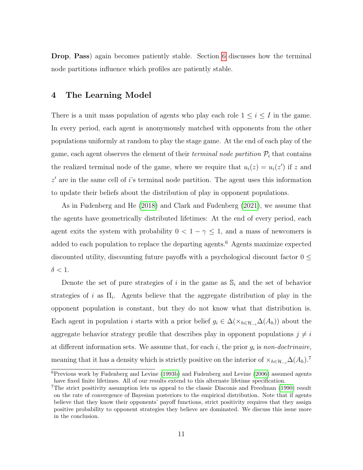Drop, Pass) again becomes patiently stable. Section [6](#page-16-1) discusses how the terminal node partitions influence which profiles are patiently stable.

# <span id="page-11-0"></span>4 The Learning Model

There is a unit mass population of agents who play each role  $1 \leq i \leq I$  in the game. In every period, each agent is anonymously matched with opponents from the other populations uniformly at random to play the stage game. At the end of each play of the game, each agent observes the element of their *terminal node partition*  $P_i$  that contains the realized terminal node of the game, where we require that  $u_i(z) = u_i(z')$  if z and  $z'$  are in the same cell of i's terminal node partition. The agent uses this information to update their beliefs about the distribution of play in opponent populations.

As in Fudenberg and He [\(2018\)](#page-24-10) and Clark and Fudenberg [\(2021\)](#page-24-4), we assume that the agents have geometrically distributed lifetimes: At the end of every period, each agent exits the system with probability  $0 < 1 - \gamma \leq 1$ , and a mass of newcomers is added to each population to replace the departing agents. $^6$  Agents maximize expected discounted utility, discounting future payoffs with a psychological discount factor  $0 \leq$  $\delta < 1$ .

Denote the set of pure strategies of i in the game as  $\mathbb{S}_i$  and the set of behavior strategies of i as  $\Pi_i$ . Agents believe that the aggregate distribution of play in the opponent population is constant, but they do not know what that distribution is. Each agent in population *i* starts with a prior belief  $g_i \in \Delta(\times_{h \in \mathcal{H}_{-i}} \Delta(A_h))$  about the aggregate behavior strategy profile that describes play in opponent populations  $j \neq i$ at different information sets. We assume that, for each  $i$ , the prior  $g_i$  is non-doctrinaire, meaning that it has a density which is strictly positive on the interior of  $\times_{h\in\mathcal{H}_{-i}}\Delta(A_h)$ .<sup>7</sup>

 $6$ Previous work by Fudenberg and Levine [\(1993b\)](#page-25-3) and Fudenberg and Levine [\(2006\)](#page-25-4) assumed agents have fixed finite lifetimes. All of our results extend to this alternate lifetime specification.

<sup>&</sup>lt;sup>7</sup>The strict positivity assumption lets us appeal to the classic Diaconis and Freedman [\(1990\)](#page-24-11) result on the rate of convergence of Bayesian posteriors to the empirical distribution. Note that if agents believe that they know their opponents' payoff functions, strict positivity requires that they assign positive probability to opponent strategies they believe are dominated. We discuss this issue more in the conclusion.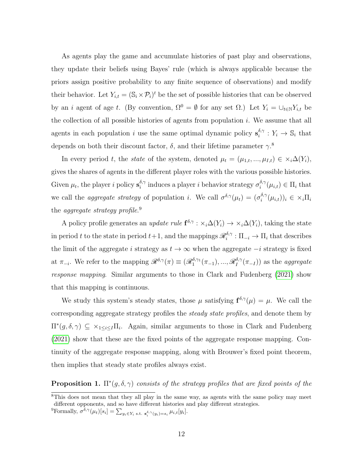As agents play the game and accumulate histories of past play and observations, they update their beliefs using Bayes' rule (which is always applicable because the priors assign positive probability to any finite sequence of observations) and modify their behavior. Let  $Y_{i,t} = (\mathbb{S}_i \times \mathcal{P}_i)^t$  be the set of possible histories that can be observed by an i agent of age t. (By convention,  $\Omega^0 = \emptyset$  for any set  $\Omega$ .) Let  $Y_i = \bigcup_{t \in \mathbb{N}} Y_{i,t}$  be the collection of all possible histories of agents from population  $i$ . We assume that all agents in each population *i* use the same optimal dynamic policy  $\mathbf{s}_i^{\delta,\gamma}$  $i_i^{\delta,\gamma}: Y_i \to \mathbb{S}_i$  that depends on both their discount factor,  $\delta$ , and their lifetime parameter  $\gamma$ <sup>8</sup>

In every period t, the state of the system, denoted  $\mu_t = (\mu_{1,t}, ..., \mu_{I,t}) \in \times_i \Delta(Y_i)$ , gives the shares of agents in the different player roles with the various possible histories. Given  $\mu_t$ , the player i policy  $\mathbf{s}_i^{\delta,\gamma}$ <sup>δ,γ</sup> induces a player *i* behavior strategy  $\sigma_i^{\delta,\gamma}$  $i^{o,\gamma}(\mu_{i,t}) \in \Pi_i$  that we call the *aggregate strategy* of population *i*. We call  $\sigma^{\delta,\gamma}(\mu_t) = (\sigma_i^{\delta,\gamma})$  $i^{\delta,\gamma}(\mu_{i,t}))_i \in \times_i \Pi_i$ the *aggregate strategy profile.*<sup>9</sup>

A policy profile generates an update rule  $f^{\delta,\gamma}: \chi_i \Delta(Y_i) \to \chi_i \Delta(Y_i)$ , taking the state in period t to the state in period  $t+1$ , and the mappings  $\mathscr{R}_i^{\delta,\gamma}$  $i^{o,\gamma}: \Pi_{-i} \to \Pi_i$  that describes the limit of the aggregate i strategy as  $t \to \infty$  when the aggregate  $-i$  strategy is fixed at  $\pi_{-i}$ . We refer to the mapping  $\mathscr{R}^{\delta,\gamma}(\pi) \equiv (\mathscr{R}^{\delta,\gamma_1}_1(\pi_{-1}),...,\mathscr{R}^{\delta,\gamma_n}_I)$  $I_I^{(0,\gamma}(\pi_{-I}))$  as the *aggregate* response mapping. Similar arguments to those in Clark and Fudenberg [\(2021\)](#page-24-4) show that this mapping is continuous.

We study this system's steady states, those  $\mu$  satisfying  $f^{\delta,\gamma}(\mu) = \mu$ . We call the corresponding aggregate strategy profiles the steady state profiles, and denote them by  $\Pi^*(g, \delta, \gamma) \subseteq \times_{1 \leq i \leq I} \Pi_i$ . Again, similar arguments to those in Clark and Fudenberg [\(2021\)](#page-24-4) show that these are the fixed points of the aggregate response mapping. Continuity of the aggregate response mapping, along with Brouwer's fixed point theorem, then implies that steady state profiles always exist.

<span id="page-12-0"></span>**Proposition 1.**  $\Pi^*(g, \delta, \gamma)$  consists of the strategy profiles that are fixed points of the

<sup>&</sup>lt;sup>8</sup>This does not mean that they all play in the same way, as agents with the same policy may meet different opponents, and so have different histories and play different strategies.

<sup>&</sup>lt;sup>9</sup>Formally,  $\sigma^{\delta,\gamma}(\mu_t)[s_i] = \sum_{y_i \in Y_i \text{ s.t. } \mathbf{s}_i^{\delta,\gamma}(y_i) = s_i} \mu_{i,t}[y_i].$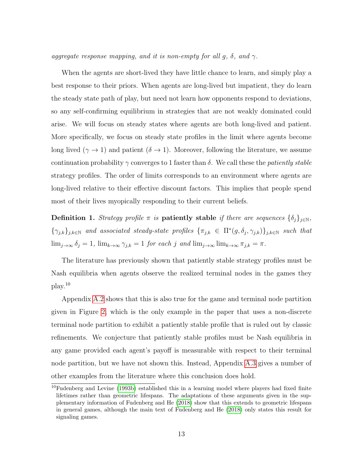aggregate response mapping, and it is non-empty for all g,  $\delta$ , and  $\gamma$ .

When the agents are short-lived they have little chance to learn, and simply play a best response to their priors. When agents are long-lived but impatient, they do learn the steady state path of play, but need not learn how opponents respond to deviations, so any self-confirming equilibrium in strategies that are not weakly dominated could arise. We will focus on steady states where agents are both long-lived and patient. More specifically, we focus on steady state profiles in the limit where agents become long lived  $(\gamma \to 1)$  and patient  $(\delta \to 1)$ . Moreover, following the literature, we assume continuation probability  $\gamma$  converges to 1 faster than  $\delta$ . We call these the *patiently stable* strategy profiles. The order of limits corresponds to an environment where agents are long-lived relative to their effective discount factors. This implies that people spend most of their lives myopically responding to their current beliefs.

Definition 1. Strategy profile  $\pi$  is patiently stable if there are sequences  $\{\delta_i\}_{i\in\mathbb{N}}$ ,  $\{\gamma_{j,k}\}_{j,k\in\mathbb{N}}$  and associated steady-state profiles  $\{\pi_{j,k}\in\Pi^*(g,\delta_j,\gamma_{j,k})\}_{j,k\in\mathbb{N}}$  such that  $\lim_{j\to\infty} \delta_j = 1$ ,  $\lim_{k\to\infty} \gamma_{j,k} = 1$  for each j and  $\lim_{j\to\infty} \lim_{k\to\infty} \pi_{j,k} = \pi$ .

The literature has previously shown that patiently stable strategy profiles must be Nash equilibria when agents observe the realized terminal nodes in the games they play.<sup>10</sup>

Appendix [A.2](#page-28-0) shows that this is also true for the game and terminal node partition given in Figure [2,](#page-6-0) which is the only example in the paper that uses a non-discrete terminal node partition to exhibit a patiently stable profile that is ruled out by classic refinements. We conjecture that patiently stable profiles must be Nash equilibria in any game provided each agent's payoff is measurable with respect to their terminal node partition, but we have not shown this. Instead, Appendix [A.3](#page-29-0) gives a number of other examples from the literature where this conclusion does hold.

 $10$ Fudenberg and Levine [\(1993b\)](#page-25-3) established this in a learning model where players had fixed finite lifetimes rather than geometric lifespans. The adaptations of these arguments given in the supplementary information of Fudenberg and He [\(2018\)](#page-24-10) show that this extends to geometric lifespans in general games, although the main text of Fudenberg and He [\(2018\)](#page-24-10) only states this result for signaling games.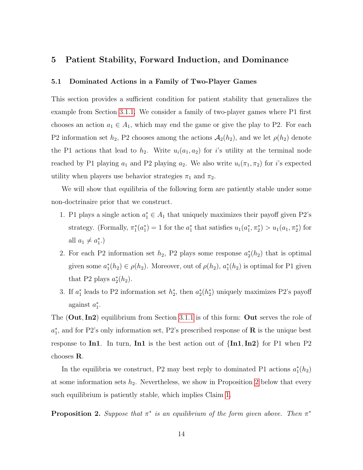# 5 Patient Stability, Forward Induction, and Dominance

#### <span id="page-14-0"></span>5.1 Dominated Actions in a Family of Two-Player Games

This section provides a sufficient condition for patient stability that generalizes the example from Section [3.1.1.](#page-4-0) We consider a family of two-player games where P1 first chooses an action  $a_1 \in A_1$ , which may end the game or give the play to P2. For each P2 information set  $h_2$ , P2 chooses among the actions  $\mathcal{A}_2(h_2)$ , and we let  $\rho(h_2)$  denote the P1 actions that lead to  $h_2$ . Write  $u_i(a_1, a_2)$  for i's utility at the terminal node reached by P1 playing  $a_1$  and P2 playing  $a_2$ . We also write  $u_i(\pi_1, \pi_2)$  for i's expected utility when players use behavior strategies  $\pi_1$  and  $\pi_2$ .

We will show that equilibria of the following form are patiently stable under some non-doctrinaire prior that we construct.

- 1. P1 plays a single action  $a_1^* \in A_1$  that uniquely maximizes their payoff given P2's strategy. (Formally,  $\pi_1^*(a_1^*) = 1$  for the  $a_1^*$  that satisfies  $u_1(a_1^*, \pi_2^*) > u_1(a_1, \pi_2^*)$  for all  $a_1 \neq a_1^*$ .)
- 2. For each P2 information set  $h_2$ , P2 plays some response  $a_2^*(h_2)$  that is optimal given some  $a_1^*(h_2) \in \rho(h_2)$ . Moreover, out of  $\rho(h_2)$ ,  $a_1^*(h_2)$  is optimal for P1 given that P2 plays  $a_2^*(h_2)$ .
- 3. If  $a_1^*$  leads to P2 information set  $h_2^*$ , then  $a_2^*(h_2^*)$  uniquely maximizes P2's payoff against  $a_1^*$ .

The (Out, In2) equilibrium from Section [3.1.1](#page-4-0) is of this form: Out serves the role of  $a_1^*$ , and for P2's only information set, P2's prescribed response of **R** is the unique best response to In1. In turn, In1 is the best action out of  $\{In1, In2\}$  for P1 when P2 chooses R.

In the equilibria we construct, P2 may best reply to dominated P1 actions  $a_1^*(h_2)$ at some information sets  $h_2$ . Nevertheless, we show in Proposition [2](#page-14-1) below that every such equilibrium is patiently stable, which implies Claim [1.](#page-5-1)

<span id="page-14-1"></span>**Proposition 2.** Suppose that  $\pi^*$  is an equilibrium of the form given above. Then  $\pi^*$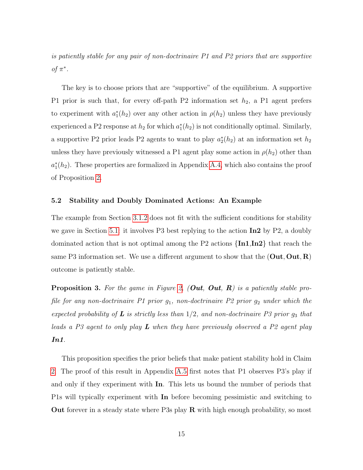is patiently stable for any pair of non-doctrinaire P1 and P2 priors that are supportive of  $\pi^*$ .

The key is to choose priors that are "supportive" of the equilibrium. A supportive P1 prior is such that, for every off-path P2 information set  $h_2$ , a P1 agent prefers to experiment with  $a_1^*(h_2)$  over any other action in  $\rho(h_2)$  unless they have previously experienced a P2 response at  $h_2$  for which  $a_1^*(h_2)$  is not conditionally optimal. Similarly, a supportive P2 prior leads P2 agents to want to play  $a_2^*(h_2)$  at an information set  $h_2$ unless they have previously witnessed a P1 agent play some action in  $\rho(h_2)$  other than  $a_1^*(h_2)$ . These properties are formalized in Appendix [A.4,](#page-30-0) which also contains the proof of Proposition [2.](#page-14-1)

#### <span id="page-15-0"></span>5.2 Stability and Doubly Dominated Actions: An Example

The example from Section [3.1.2](#page-6-1) does not fit with the sufficient conditions for stability we gave in Section [5.1:](#page-14-0) it involves P3 best replying to the action  $\text{In2}$  by P2, a doubly dominated action that is not optimal among the P2 actions  $\{In1, In2\}$  that reach the same P3 information set. We use a different argument to show that the  $(Out, Out, R)$ outcome is patiently stable.

<span id="page-15-1"></span>**Proposition 3.** For the game in Figure [2,](#page-6-0) (Out, Out, R) is a patiently stable profile for any non-doctrinaire P1 prior  $g_1$ , non-doctrinaire P2 prior  $g_2$  under which the expected probability of  $L$  is strictly less than  $1/2$ , and non-doctrinaire P3 prior  $g_3$  that leads a P3 agent to only play  $\boldsymbol{L}$  when they have previously observed a P2 agent play In1.

This proposition specifies the prior beliefs that make patient stability hold in Claim [2.](#page-7-0) The proof of this result in Appendix [A.5](#page-33-0) first notes that P1 observes P3's play if and only if they experiment with In. This lets us bound the number of periods that P1s will typically experiment with In before becoming pessimistic and switching to **Out** forever in a steady state where P3s play  $\bf{R}$  with high enough probability, so most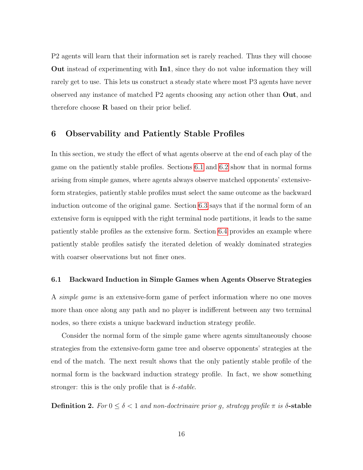P2 agents will learn that their information set is rarely reached. Thus they will choose Out instead of experimenting with In1, since they do not value information they will rarely get to use. This lets us construct a steady state where most P3 agents have never observed any instance of matched P2 agents choosing any action other than Out, and therefore choose  $\bf R$  based on their prior belief.

# <span id="page-16-1"></span>6 Observability and Patiently Stable Profiles

In this section, we study the effect of what agents observe at the end of each play of the game on the patiently stable profiles. Sections [6.1](#page-16-0) and [6.2](#page-17-1) show that in normal forms arising from simple games, where agents always observe matched opponents' extensiveform strategies, patiently stable profiles must select the same outcome as the backward induction outcome of the original game. Section [6.3](#page-20-0) says that if the normal form of an extensive form is equipped with the right terminal node partitions, it leads to the same patiently stable profiles as the extensive form. Section [6.4](#page-21-0) provides an example where patiently stable profiles satisfy the iterated deletion of weakly dominated strategies with coarser observations but not finer ones.

#### <span id="page-16-0"></span>6.1 Backward Induction in Simple Games when Agents Observe Strategies

A simple game is an extensive-form game of perfect information where no one moves more than once along any path and no player is indifferent between any two terminal nodes, so there exists a unique backward induction strategy profile.

Consider the normal form of the simple game where agents simultaneously choose strategies from the extensive-form game tree and observe opponents' strategies at the end of the match. The next result shows that the only patiently stable profile of the normal form is the backward induction strategy profile. In fact, we show something stronger: this is the only profile that is  $\delta$ -stable.

Definition 2. For  $0 \le \delta < 1$  and non-doctrinaire prior g, strategy profile  $\pi$  is  $\delta$ -stable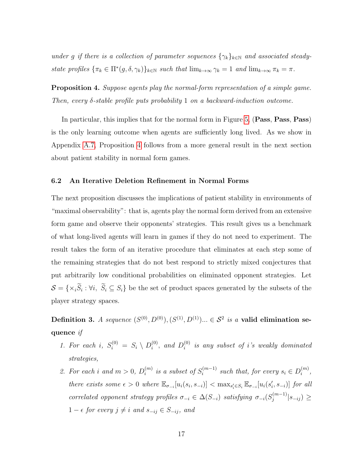under g if there is a collection of parameter sequences  $\{\gamma_k\}_{k\in\mathbb{N}}$  and associated steadystate profiles  $\{\pi_k \in \Pi^*(g, \delta, \gamma_k)\}_{k \in \mathbb{N}}$  such that  $\lim_{k \to \infty} \gamma_k = 1$  and  $\lim_{k \to \infty} \pi_k = \pi$ .

<span id="page-17-0"></span>Proposition 4. Suppose agents play the normal-form representation of a simple game. Then, every  $\delta$ -stable profile puts probability 1 on a backward-induction outcome.

In particular, this implies that for the normal form in Figure [5,](#page-9-0) (Pass, Pass, Pass) is the only learning outcome when agents are sufficiently long lived. As we show in Appendix [A.7,](#page-39-0) Proposition [4](#page-17-0) follows from a more general result in the next section about patient stability in normal form games.

#### <span id="page-17-1"></span>6.2 An Iterative Deletion Refinement in Normal Forms

The next proposition discusses the implications of patient stability in environments of "maximal observability": that is, agents play the normal form derived from an extensive form game and observe their opponents' strategies. This result gives us a benchmark of what long-lived agents will learn in games if they do not need to experiment. The result takes the form of an iterative procedure that eliminates at each step some of the remaining strategies that do not best respond to strictly mixed conjectures that put arbitrarily low conditional probabilities on eliminated opponent strategies. Let  $S = \{ \times_i S_i : \forall i, S_i \subseteq S_i \}$  be the set of product spaces generated by the subsets of the player strategy spaces.

**Definition 3.** A sequence  $(S^{(0)}, D^{(0)}), (S^{(1)}, D^{(1)})$ ...  $\in \mathcal{S}^2$  is a **valid elimination se**quence if

- 1. For each i,  $S_i^{(0)} = S_i \setminus D_i^{(0)}$  $i^{(0)}$ , and  $D_i^{(0)}$  $\sum_{i=1}^{(0)}$  is any subset of i's weakly dominated strategies,
- 2. For each i and  $m > 0$ ,  $D_i^{(m)}$  $\binom{m}{i}$  is a subset of  $S_i^{(m-1)}$  $i^{(m-1)}$  such that, for every  $s_i \in D_i^{(m)}$  $\binom{m}{i}$ there exists some  $\epsilon > 0$  where  $\mathbb{E}_{\sigma_{-i}}[u_i(s_i, s_{-i})] < \max_{s_i' \in S_i} \mathbb{E}_{\sigma_{-i}}[u_i(s_i', s_{-i})]$  for all correlated opponent strategy profiles  $\sigma_{-i} \in \Delta(S_{-i})$  satisfying  $\sigma_{-i}(S_i^{(m-1)})$  $\frac{m-1)}{j}|_{S-ij})\geq$ 1 −  $\epsilon$  for every  $j \neq i$  and  $s_{-ij} \in S_{-ij}$ , and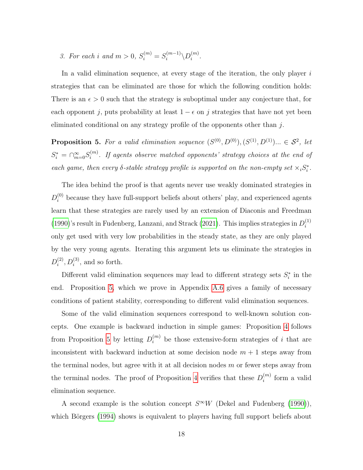3. For each i and  $m > 0$ ,  $S_i^{(m)} = S_i^{(m-1)}$  $\langle m^{-1} \rangle D^{(m)}_i$  $\binom{m}{i}$ .

In a valid elimination sequence, at every stage of the iteration, the only player  $i$ strategies that can be eliminated are those for which the following condition holds: There is an  $\epsilon > 0$  such that the strategy is suboptimal under any conjecture that, for each opponent j, puts probability at least  $1 - \epsilon$  on j strategies that have not yet been eliminated conditional on any strategy profile of the opponents other than j.

<span id="page-18-0"></span>**Proposition 5.** For a valid elimination sequence  $(S^{(0)}, D^{(0)}), (S^{(1)}, D^{(1)})... \in S^2$ , let  $S_i^* = \bigcap_{m=0}^{\infty} S_i^{(m)}$  $\mathcal{E}_i^{(m)}$ . If agents observe matched opponents' strategy choices at the end of each game, then every  $\delta$ -stable strategy profile is supported on the non-empty set  $\times_i S^*_i$ .

The idea behind the proof is that agents never use weakly dominated strategies in  $D_i^{(0)}$  because they have full-support beliefs about others' play, and experienced agents learn that these strategies are rarely used by an extension of Diaconis and Freedman [\(1990\)](#page-24-11)'s result in Fudenberg, Lanzani, and Strack [\(2021\)](#page-24-12). This implies strategies in  $D_i^{(1)}$ i only get used with very low probabilities in the steady state, as they are only played by the very young agents. Iterating this argument lets us eliminate the strategies in  $D_i^{(2)}$  $i^{(2)}$ ,  $D_i^{(3)}$ , and so forth.

Different valid elimination sequences may lead to different strategy sets  $S_i^*$  in the end. Proposition [5,](#page-18-0) which we prove in Appendix [A.6](#page-37-0) gives a family of necessary conditions of patient stability, corresponding to different valid elimination sequences.

Some of the valid elimination sequences correspond to well-known solution concepts. One example is backward induction in simple games: Proposition [4](#page-17-0) follows from Proposition [5](#page-18-0) by letting  $D_i^{(m)}$  be those extensive-form strategies of i that are inconsistent with backward induction at some decision node  $m + 1$  steps away from the terminal nodes, but agree with it at all decision nodes  $m$  or fewer steps away from the terminal nodes. The proof of Proposition [4](#page-17-0) verifies that these  $D_i^{(m)}$  $i^{(m)}$  form a valid elimination sequence.

A second example is the solution concept  $S^{\infty}W$  (Dekel and Fudenberg [\(1990\)](#page-24-7)), which Börgers [\(1994\)](#page-24-13) shows is equivalent to players having full support beliefs about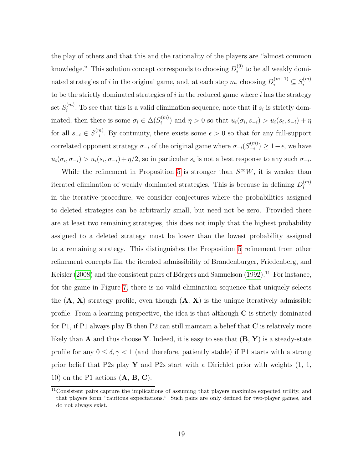the play of others and that this and the rationality of the players are "almost common knowledge." This solution concept corresponds to choosing  $D_i^{(0)}$  $i^{(0)}$  to be all weakly dominated strategies of *i* in the original game, and, at each step m, choosing  $D_i^{(m+1)} \subseteq S_i^{(m)}$ i to be the strictly dominated strategies of  $i$  in the reduced game where  $i$  has the strategy set  $S_i^{(m)}$  $i^{(m)}$ . To see that this is a valid elimination sequence, note that if  $s_i$  is strictly dominated, then there is some  $\sigma_i \in \Delta(S_i^{(m)})$  $u_i^{(m)}$  and  $\eta > 0$  so that  $u_i(\sigma_i, s_{-i}) > u_i(s_i, s_{-i}) + \eta$ for all  $s_{-i} \in S_{-i}^{(m)}$  $\frac{1}{i}$ . By continuity, there exists some  $\epsilon > 0$  so that for any full-support correlated opponent strategy  $\sigma_{-i}$  of the original game where  $\sigma_{-i}(S_{-i}^{(m)})$  $\binom{(m)}{-i} \geq 1 - \epsilon$ , we have  $u_i(\sigma_i, \sigma_{-i}) > u_i(s_i, \sigma_{-i}) + \eta/2$ , so in particular  $s_i$  is not a best response to any such  $\sigma_{-i}$ .

While the refinement in Proposition [5](#page-18-0) is stronger than  $S^{\infty}W$ , it is weaker than iterated elimination of weakly dominated strategies. This is because in defining  $D_i^{(m)}$ i in the iterative procedure, we consider conjectures where the probabilities assigned to deleted strategies can be arbitrarily small, but need not be zero. Provided there are at least two remaining strategies, this does not imply that the highest probability assigned to a deleted strategy must be lower than the lowest probability assigned to a remaining strategy. This distinguishes the Proposition [5](#page-18-0) refinement from other refinement concepts like the iterated admissibility of Brandenburger, Friedenberg, and Keisler [\(2008\)](#page-24-14) and the consistent pairs of Börgers and Samuelson [\(1992\)](#page-24-15).<sup>11</sup> For instance, for the game in Figure [7,](#page-20-1) there is no valid elimination sequence that uniquely selects the  $(A, X)$  strategy profile, even though  $(A, X)$  is the unique iteratively admissible profile. From a learning perspective, the idea is that although  $C$  is strictly dominated for P1, if P1 always play **B** then P2 can still maintain a belief that  $C$  is relatively more likely than **A** and thus choose **Y**. Indeed, it is easy to see that  $(\mathbf{B}, \mathbf{Y})$  is a steady-state profile for any  $0\leq\delta,\gamma<1$  (and therefore, patiently stable) if P1 starts with a strong prior belief that P2s play  $\mathbf Y$  and P2s start with a Dirichlet prior with weights  $(1, 1, 1)$ 10) on the P1 actions  $(A, B, C)$ .

 $\overline{^{11}$ Consistent pairs capture the implications of assuming that players maximize expected utility, and that players form "cautious expectations." Such pairs are only defined for two-player games, and do not always exist.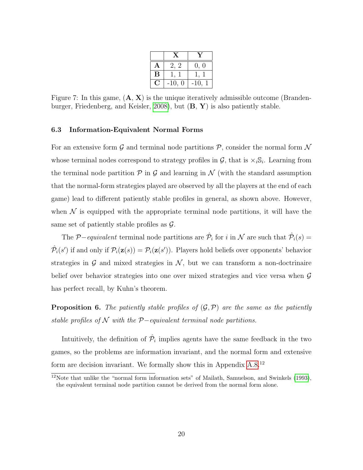|   | $\mathbf{x}$ |        |
|---|--------------|--------|
| А | 2. 2         | 0, 0   |
| В |              |        |
|   | $-10, 0$     | $-10,$ |

<span id="page-20-1"></span>Figure 7: In this game,  $(A, X)$  is the unique iteratively admissible outcome (Branden-burger, Friedenberg, and Keisler, [2008\)](#page-24-14), but  $(\mathbf{B}, \mathbf{Y})$  is also patiently stable.

#### <span id="page-20-0"></span>6.3 Information-Equivalent Normal Forms

For an extensive form  $\mathcal G$  and terminal node partitions  $\mathcal P$ , consider the normal form  $\mathcal N$ whose terminal nodes correspond to strategy profiles in  $\mathcal{G}$ , that is  $\times_i \mathbb{S}_i$ . Learning from the terminal node partition  $P$  in  $G$  and learning in  $N$  (with the standard assumption that the normal-form strategies played are observed by all the players at the end of each game) lead to different patiently stable profiles in general, as shown above. However, when  $\mathcal N$  is equipped with the appropriate terminal node partitions, it will have the same set of patiently stable profiles as  $\mathcal{G}$ .

The P-equivalent terminal node partitions are  $\hat{\mathcal{P}}_i$  for i in N are such that  $\hat{\mathcal{P}}_i(s)$  =  $\hat{\mathcal{P}}_i(s')$  if and only if  $\mathcal{P}_i(\mathbf{z}(s)) = \mathcal{P}_i(\mathbf{z}(s'))$ . Players hold beliefs over opponents' behavior strategies in  $G$  and mixed strategies in  $N$ , but we can transform a non-doctrinaire belief over behavior strategies into one over mixed strategies and vice versa when G has perfect recall, by Kuhn's theorem.

<span id="page-20-2"></span>**Proposition 6.** The patiently stable profiles of  $(\mathcal{G}, \mathcal{P})$  are the same as the patiently stable profiles of  $\mathcal N$  with the  $\mathcal P$ -equivalent terminal node partitions.

Intuitively, the definition of  $\hat{\mathcal{P}}_i$  implies agents have the same feedback in the two games, so the problems are information invariant, and the normal form and extensive form are decision invariant. We formally show this in Appendix [A.8.](#page-40-0)<sup>12</sup>

 $12$ Note that unlike the "normal form information sets" of Mailath, Samuelson, and Swinkels [\(1993\)](#page-25-6), the equivalent terminal node partition cannot be derived from the normal form alone.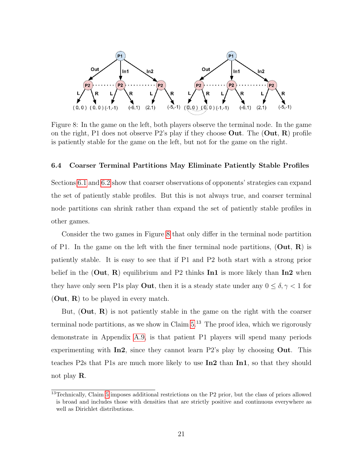<span id="page-21-1"></span>

Figure 8: In the game on the left, both players observe the terminal node. In the game on the right, P1 does not observe P2's play if they choose Out. The  $(Out, R)$  profile is patiently stable for the game on the left, but not for the game on the right.

#### <span id="page-21-0"></span>6.4 Coarser Terminal Partitions May Eliminate Patiently Stable Profiles

Sections [6.1](#page-16-0) and [6.2](#page-17-1) show that coarser observations of opponents' strategies can expand the set of patiently stable profiles. But this is not always true, and coarser terminal node partitions can shrink rather than expand the set of patiently stable profiles in other games.

Consider the two games in Figure [8](#page-21-1) that only differ in the terminal node partition of P1. In the game on the left with the finer terminal node partitions,  $(Out, R)$  is patiently stable. It is easy to see that if P1 and P2 both start with a strong prior belief in the  $(Out, R)$  equilibrium and P2 thinks In1 is more likely than In2 when they have only seen P1s play **Out**, then it is a steady state under any  $0 \le \delta, \gamma < 1$  for  $(Out, R)$  to be played in every match.

But,  $(Out, R)$  is not patiently stable in the game on the right with the coarser terminal node partitions, as we show in Claim  $5^{13}$ . The proof idea, which we rigorously demonstrate in Appendix [A.9,](#page-41-0) is that patient P1 players will spend many periods experimenting with  $In2$ , since they cannot learn P2's play by choosing Out. This teaches P2s that P1s are much more likely to use In2 than In1, so that they should not play R.

<sup>13</sup>Technically, Claim [5](#page-22-0) imposes additional restrictions on the P2 prior, but the class of priors allowed is broad and includes those with densities that are strictly positive and continuous everywhere as well as Dirichlet distributions.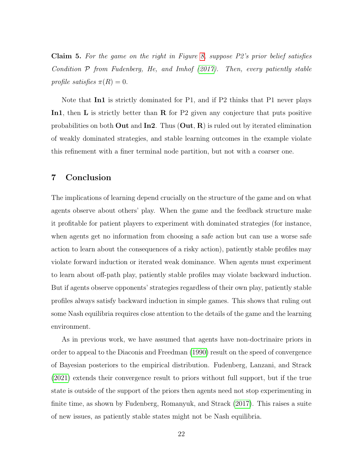<span id="page-22-0"></span>**Claim 5.** For the game on the right in Figure [8,](#page-21-1) suppose  $P2$ 's prior belief satisfies Condition  $P$  from Fudenberg, He, and Imhof [\(2017\)](#page-24-16). Then, every patiently stable profile satisfies  $\pi(R) = 0$ .

Note that **In1** is strictly dominated for P1, and if P2 thinks that P1 never plays In1, then L is strictly better than R for P2 given any conjecture that puts positive probabilities on both **Out** and  $\text{In2.}$  Thus  $(\text{Out}, \text{R})$  is ruled out by iterated elimination of weakly dominated strategies, and stable learning outcomes in the example violate this refinement with a finer terminal node partition, but not with a coarser one.

# 7 Conclusion

The implications of learning depend crucially on the structure of the game and on what agents observe about others' play. When the game and the feedback structure make it profitable for patient players to experiment with dominated strategies (for instance, when agents get no information from choosing a safe action but can use a worse safe action to learn about the consequences of a risky action), patiently stable profiles may violate forward induction or iterated weak dominance. When agents must experiment to learn about off-path play, patiently stable profiles may violate backward induction. But if agents observe opponents' strategies regardless of their own play, patiently stable profiles always satisfy backward induction in simple games. This shows that ruling out some Nash equilibria requires close attention to the details of the game and the learning environment.

As in previous work, we have assumed that agents have non-doctrinaire priors in order to appeal to the Diaconis and Freedman [\(1990\)](#page-24-11) result on the speed of convergence of Bayesian posteriors to the empirical distribution. Fudenberg, Lanzani, and Strack [\(2021\)](#page-24-12) extends their convergence result to priors without full support, but if the true state is outside of the support of the priors then agents need not stop experimenting in finite time, as shown by Fudenberg, Romanyuk, and Strack [\(2017\)](#page-25-7). This raises a suite of new issues, as patiently stable states might not be Nash equilibria.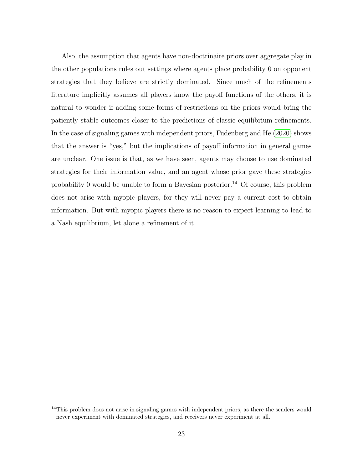Also, the assumption that agents have non-doctrinaire priors over aggregate play in the other populations rules out settings where agents place probability 0 on opponent strategies that they believe are strictly dominated. Since much of the refinements literature implicitly assumes all players know the payoff functions of the others, it is natural to wonder if adding some forms of restrictions on the priors would bring the patiently stable outcomes closer to the predictions of classic equilibrium refinements. In the case of signaling games with independent priors, Fudenberg and He [\(2020\)](#page-24-3) shows that the answer is "yes," but the implications of payoff information in general games are unclear. One issue is that, as we have seen, agents may choose to use dominated strategies for their information value, and an agent whose prior gave these strategies probability 0 would be unable to form a Bayesian posterior.<sup>14</sup> Of course, this problem does not arise with myopic players, for they will never pay a current cost to obtain information. But with myopic players there is no reason to expect learning to lead to a Nash equilibrium, let alone a refinement of it.

<sup>&</sup>lt;sup>14</sup>This problem does not arise in signaling games with independent priors, as there the senders would never experiment with dominated strategies, and receivers never experiment at all.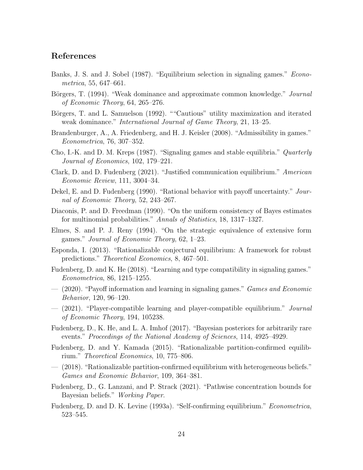# References

- <span id="page-24-0"></span>Banks, J. S. and J. Sobel (1987). "Equilibrium selection in signaling games." Econometrica, 55, 647–661.
- <span id="page-24-13"></span>Börgers, T. (1994). "Weak dominance and approximate common knowledge." *Journal* of Economic Theory, 64, 265–276.
- <span id="page-24-15"></span>Börgers, T. and L. Samuelson (1992). ""Cautious" utility maximization and iterated weak dominance." International Journal of Game Theory, 21, 13–25.
- <span id="page-24-14"></span>Brandenburger, A., A. Friedenberg, and H. J. Keisler (2008). "Admissibility in games." Econometrica, 76, 307–352.
- <span id="page-24-1"></span>Cho, I.-K. and D. M. Kreps (1987). "Signaling games and stable equilibria." *Quarterly* Journal of Economics, 102, 179–221.
- <span id="page-24-4"></span>Clark, D. and D. Fudenberg (2021). "Justified communication equilibrium." American Economic Review, 111, 3004–34.
- <span id="page-24-7"></span>Dekel, E. and D. Fudenberg (1990). "Rational behavior with payoff uncertainty." Journal of Economic Theory, 52, 243–267.
- <span id="page-24-11"></span>Diaconis, P. and D. Freedman (1990). "On the uniform consistency of Bayes estimates for multinomial probabilities." Annals of Statistics, 18, 1317–1327.
- <span id="page-24-5"></span>Elmes, S. and P. J. Reny (1994). "On the strategic equivalence of extensive form games." Journal of Economic Theory, 62, 1–23.
- <span id="page-24-8"></span>Esponda, I. (2013). "Rationalizable conjectural equilibrium: A framework for robust predictions." Theoretical Economics, 8, 467–501.
- <span id="page-24-10"></span>Fudenberg, D. and K. He (2018). "Learning and type compatibility in signaling games." Econometrica, 86, 1215–1255.
- <span id="page-24-3"></span> $-$  (2020). "Payoff information and learning in signaling games." *Games and Economic* Behavior, 120, 96–120.
- <span id="page-24-17"></span>— (2021). "Player-compatible learning and player-compatible equilibrium." Journal of Economic Theory, 194, 105238.
- <span id="page-24-16"></span>Fudenberg, D., K. He, and L. A. Imhof (2017). "Bayesian posteriors for arbitrarily rare events." Proceedings of the National Academy of Sciences, 114, 4925–4929.
- <span id="page-24-6"></span>Fudenberg, D. and Y. Kamada (2015). "Rationalizable partition-confirmed equilibrium." Theoretical Economics, 10, 775–806.
- <span id="page-24-2"></span>— (2018). "Rationalizable partition-confirmed equilibrium with heterogeneous beliefs." Games and Economic Behavior, 109, 364–381.
- <span id="page-24-12"></span>Fudenberg, D., G. Lanzani, and P. Strack (2021). "Pathwise concentration bounds for Bayesian beliefs." Working Paper.
- <span id="page-24-9"></span>Fudenberg, D. and D. K. Levine (1993a). "Self-confirming equilibrium." Econometrica, 523–545.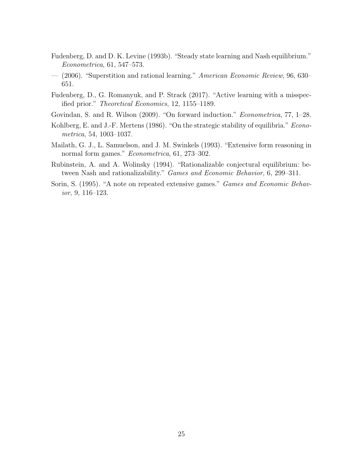- <span id="page-25-3"></span>Fudenberg, D. and D. K. Levine (1993b). "Steady state learning and Nash equilibrium." Econometrica, 61, 547–573.
- <span id="page-25-4"></span>— (2006). "Superstition and rational learning." American Economic Review, 96, 630– 651.
- <span id="page-25-7"></span>Fudenberg, D., G. Romanyuk, and P. Strack (2017). "Active learning with a misspecified prior." Theoretical Economics, 12, 1155–1189.
- <span id="page-25-1"></span>Govindan, S. and R. Wilson (2009). "On forward induction." Econometrica, 77, 1–28.
- <span id="page-25-0"></span>Kohlberg, E. and J.-F. Mertens (1986). "On the strategic stability of equilibria." *Econo*metrica, 54, 1003–1037.
- <span id="page-25-6"></span>Mailath, G. J., L. Samuelson, and J. M. Swinkels (1993). "Extensive form reasoning in normal form games." Econometrica, 61, 273–302.
- <span id="page-25-2"></span>Rubinstein, A. and A. Wolinsky (1994). "Rationalizable conjectural equilibrium: between Nash and rationalizability." Games and Economic Behavior, 6, 299–311.
- <span id="page-25-5"></span>Sorin, S. (1995). "A note on repeated extensive games." Games and Economic Behavior, 9, 116–123.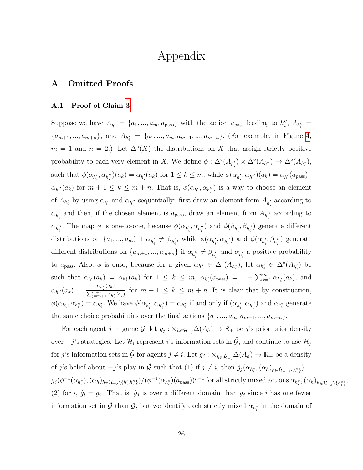# Appendix

# A Omitted Proofs

#### <span id="page-26-0"></span>A.1 Proof of Claim [3](#page-8-1)

Suppose we have  $A_{h'_i} = \{a_1, ..., a_m, a_{\text{pass}}\}$  with the action  $a_{\text{pass}}$  leading to  $h''_i$ ,  $A_{h''_i} =$  $\{a_{m+1},...,a_{m+n}\},\$  and  $A_{h_i^*} = \{a_1,...,a_m,a_{m+1},...,a_{m+n}\}.$  (For example, in Figure [4,](#page-8-2)  $m = 1$  and  $n = 2$ .) Let  $\Delta^{\circ}(X)$  the distributions on X that assign strictly positive probability to each very element in X. We define  $\phi : \Delta^{\circ}(A_{h'_i}) \times \Delta^{\circ}(A_{h''_i}) \to \Delta^{\circ}(A_{h''_i}),$ such that  $\phi(\alpha_{h'_i}, \alpha_{h''_i})(a_k) = \alpha_{h'_i}(a_k)$  for  $1 \leq k \leq m$ , while  $\phi(\alpha_{h'_i}, \alpha_{h''_i})(a_k) = \alpha_{h'_i}(a_{\text{pass}})$ .  $\alpha_{h''_i}(a_k)$  for  $m+1 \leq k \leq m+n$ . That is,  $\phi(\alpha_{h'_i}, \alpha_{h''_i})$  is a way to choose an element of  $A_{h_i^*}$  by using  $\alpha_{h_i'}$  and  $\alpha_{h_i''}$  sequentially: first draw an element from  $A_{h_i'}$  according to  $\alpha_{h'_i}$  and then, if the chosen element is  $a_{\text{pass}}$ , draw an element from  $A_{h''_i}$  according to  $\alpha_{h''_i}$ . The map  $\phi$  is one-to-one, because  $\phi(\alpha_{h'_i}, \alpha_{h''_i})$  and  $\phi(\beta_{h'_i}, \beta_{h''_i})$  generate different distributions on  $\{a_1, ..., a_m\}$  if  $\alpha_{h'_i} \neq \beta_{h'_i}$ , while  $\phi(\alpha_{h'_i}, \alpha_{h''_i})$  and  $\phi(\alpha_{h'_i}, \beta_{h''_i})$  generate different distributions on  $\{a_{m+1},...,a_{m+n}\}\$ if  $\alpha_{h''_i} \neq \beta_{h''_i}$  and  $\alpha_{h'_i}$  a positive probability to  $a_{\text{pass}}$ . Also,  $\phi$  is onto, because for a given  $\alpha_{h_i^*} \in \Delta^{\circ}(A_{h_i^*})$ , let  $\alpha_{h_i'} \in \Delta^{\circ}(A_{h_i'})$  be such that  $\alpha_{h'_i}(a_k) = \alpha_{h_i^*}(a_k)$  for  $1 \leq k \leq m$ ,  $\alpha_{h'_i}(a_{\text{pass}}) = 1 - \sum_{k=1}^m \alpha_{h_i^*}(a_k)$ , and  $\alpha_{h''_i}(a_k) = \frac{\alpha_{h_i^{\star}}(a_k)}{\sum_{k=1}^{m+n} \alpha_{k^{\star}}}$  $\frac{m_i^{(n_i)}(m_i^{(n_i)})}{\sum_{j=m+1}^{m+n} \alpha_{h_i^{*}}(a_j)}$  for  $m+1 \leq k \leq m+n$ . It is clear that by construction,  $\phi(\alpha_{h'_i}, \alpha_{h''_i}) = \alpha_{h_i^*}$ . We have  $\phi(\alpha_{h'_i}, \alpha_{h''_i}) = \alpha_{h_i^*}$  if and only if  $(\alpha_{h'_i}, \alpha_{h''_i})$  and  $\alpha_{h_i^*}$  generate the same choice probabilities over the final actions  $\{a_1, ..., a_m, a_{m+1}, ..., a_{m+n}\}.$ 

For each agent j in game  $\mathcal{G}$ , let  $g_j : \times_{h \in \mathcal{H}_{-j}} \Delta(A_h) \to \mathbb{R}_+$  be j's prior prior density over  $-j$ 's strategies. Let  $\hat{\mathcal{H}}_i$  represent *i*'s information sets in  $\hat{\mathcal{G}}$ , and continue to use  $\mathcal{H}_j$ for j's information sets in  $\hat{\mathcal{G}}$  for agents  $j \neq i$ . Let  $\hat{g}_j : \times_{h \in \hat{\mathcal{H}}_{-j}} \Delta(A_h) \to \mathbb{R}_+$  be a density of j's belief about  $-j$ 's play in  $\hat{\mathcal{G}}$  such that (1) if  $j \neq i$ , then  $\hat{g}_j(\alpha_{h_i^*}, (\alpha_h)_{h \in \hat{\mathcal{H}}_{-j} \setminus \{h_i^*\}})$  $g_j(\phi^{-1}(\alpha_{h_i^*}),(\alpha_h)_{h\in\mathcal{H}_{-j}\setminus\{h'_i,h''_i\}})/(\phi^{-1}(\alpha_{h_i^*})(a_{\text{pass}}))^{n-1}$  for all strictly mixed actions  $\alpha_{h_i^*},(\alpha_h)_{h\in\hat{\mathcal{H}}_{-j}\setminus\{h_i^*\}};$ (2) for i,  $\hat{g}_i = g_i$ . That is,  $\hat{g}_j$  is over a different domain than  $g_j$  since i has one fewer information set in  $\hat{G}$  than  $\hat{G}$ , but we identify each strictly mixed  $\alpha_{h_i^*}$  in the domain of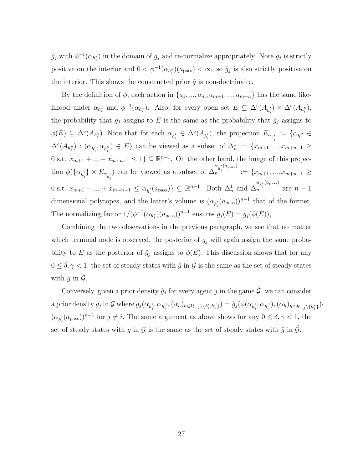$\hat{g}_j$  with  $\phi^{-1}(\alpha_{h_i^*})$  in the domain of  $g_j$  and re-normalize appropriately. Note  $g_j$  is strictly positive on the interior and  $0 < \phi^{-1}(\alpha_{h_i^*})(a_{\text{pass}}) < \infty$ , so  $\hat{g}_j$  is also strictly positive on the interior. This shows the constructed prior  $\hat{g}$  is non-doctrinaire.

By the definition of  $\phi$ , each action in  $\{a_1, ..., a_m, a_{m+1}, ..., a_{m+n}\}\)$  has the same likelihood under  $\alpha_{h_i^*}$  and  $\phi^{-1}(\alpha_{h_i^*})$ . Also, for every open set  $E \subseteq \Delta^{\circ}(A_{h_i'}) \times \Delta^{\circ}(A_{h_i''})$ , the probability that  $g_j$  assigns to E is the same as the probability that  $\hat{g}_j$  assigns to  $\phi(E) \subseteq \Delta^{\circ}(A_{h_i^*})$ . Note that for each  $\alpha_{h_i'} \in \Delta^{\circ}(A_{h_i'})$ , the projection  $E_{\alpha_{h_i'}} := {\alpha_{h_i''} \in A_{h_i''}}$  $\Delta^{\circ}(A_{h''_i}) : (\alpha_{h'_i}, \alpha_{h''_i}) \in E$  can be viewed as a subset of  $\Delta^1_n := \{x_{m+1}, ..., x_{m+n-1} \geq$ 0 s.t.  $x_{m+1} + ... + x_{m+n-1} \leq 1$   $\subseteq \mathbb{R}^{n-1}$ . On the other hand, the image of this projection  $\phi(\{\alpha_{h'_i}\}\times E_{\alpha_{h'_i}})$  can be viewed as a subset of  $\Delta$  $\alpha_{h_i'}(a_{\text{pass}})$  $n^{n_i}$  := { $x_{m+1},...,x_{m+n-1}$  ≥ 0 s.t.  $x_{m+1} + ... + x_{m+n-1} \leq \alpha_{h'_i}(a_{\text{pass}})$   $\subseteq \mathbb{R}^{n-1}$ . Both  $\Delta_n^1$  and  $\Delta_n$  $\alpha_{h_i'}(a_{\text{pass}})$  $n^{n_i}$  are  $n-1$ dimensional polytopes, and the latter's volume is  $(\alpha_{h'_i}(a_{\text{pass}}))^{n-1}$  that of the former. The normalizing factor  $1/(\phi^{-1}(\alpha_{h_i^*})(a_{\text{pass}}))^{n-1}$  ensures  $g_j(E) = \hat{g}_j(\phi(E)),$ 

Combining the two observations in the previous paragraph, we see that no matter which terminal node is observed, the posterior of  $g_j$  will again assign the same probability to E as the posterior of  $\hat{g}_j$  assigns to  $\phi(E)$ . This discussion shows that for any  $0 \leq \delta, \gamma < 1$ , the set of steady states with  $\hat{g}$  in  $\hat{\mathcal{G}}$  is the same as the set of steady states with q in  $\mathcal{G}$ .

Conversely, given a prior density  $\hat{g}_j$  for every agent j in the game  $\hat{\mathcal{G}}$ , we can consider a prior density  $g_j$  in G where  $g_j(\alpha_{h'_i}, \alpha_{h''_i}, (\alpha_h)_{h \in \mathcal{H}_{-j}\setminus\{h'_i, h''_i\}}) = \hat{g}_j(\phi(\alpha_{h'_i}, \alpha_{h''_i}), (\alpha_h)_{h \in \hat{\mathcal{H}}_{-j}\setminus\{h^*_i\}})$ .  $(\alpha_{h'_i}(a_{\text{pass}}))^{n-1}$  for  $j \neq i$ . The same argument as above shows for any  $0 \leq \delta, \gamma < 1$ , the set of steady states with g in  $\mathcal G$  is the same as the set of steady states with  $\hat g$  in  $\hat{\mathcal G}$ .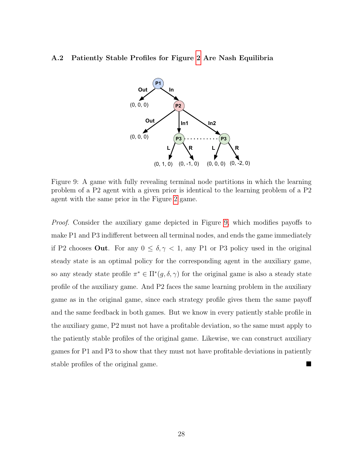#### <span id="page-28-1"></span><span id="page-28-0"></span>A.2 Patiently Stable Profiles for Figure [2](#page-6-0) Are Nash Equilibria



Figure 9: A game with fully revealing terminal node partitions in which the learning problem of a P2 agent with a given prior is identical to the learning problem of a P2 agent with the same prior in the Figure [2](#page-6-0) game.

Proof. Consider the auxiliary game depicted in Figure [9,](#page-28-1) which modifies payoffs to make P1 and P3 indifferent between all terminal nodes, and ends the game immediately if P2 chooses **Out**. For any  $0 \le \delta, \gamma < 1$ , any P1 or P3 policy used in the original steady state is an optimal policy for the corresponding agent in the auxiliary game, so any steady state profile  $\pi^* \in \Pi^*(g, \delta, \gamma)$  for the original game is also a steady state profile of the auxiliary game. And P2 faces the same learning problem in the auxiliary game as in the original game, since each strategy profile gives them the same payoff and the same feedback in both games. But we know in every patiently stable profile in the auxiliary game, P2 must not have a profitable deviation, so the same must apply to the patiently stable profiles of the original game. Likewise, we can construct auxiliary games for P1 and P3 to show that they must not have profitable deviations in patiently stable profiles of the original game.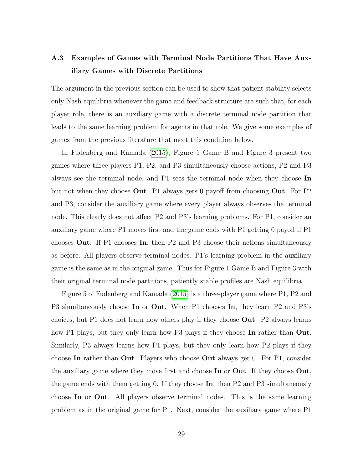# <span id="page-29-0"></span>A.3 Examples of Games with Terminal Node Partitions That Have Auxiliary Games with Discrete Partitions

The argument in the previous section can be used to show that patient stability selects only Nash equilibria whenever the game and feedback structure are such that, for each player role, there is an auxiliary game with a discrete terminal node partition that leads to the same learning problem for agents in that role. We give some examples of games from the previous literature that meet this condition below.

In Fudenberg and Kamada [\(2015\)](#page-24-6), Figure 1 Game B and Figure 3 present two games where three players P1, P2, and P3 simultaneously choose actions, P2 and P3 always see the terminal node, and P1 sees the terminal node when they choose In but not when they choose Out. P1 always gets 0 payoff from choosing Out. For P2 and P3, consider the auxiliary game where every player always observes the terminal node. This clearly does not affect P2 and P3's learning problems. For P1, consider an auxiliary game where P1 moves first and the game ends with P1 getting 0 payoff if P1 chooses Out. If P1 chooses In, then P2 and P3 choose their actions simultaneously as before. All players observe terminal nodes. P1's learning problem in the auxiliary game is the same as in the original game. Thus for Figure 1 Game B and Figure 3 with their original terminal node partitions, patiently stable profiles are Nash equilibria.

Figure 5 of Fudenberg and Kamada [\(2015\)](#page-24-6) is a three-player game where P1, P2 and P3 simultaneously choose In or Out. When P1 chooses In, they learn P2 and P3's choices, but P1 does not learn how others play if they choose Out. P2 always learns how P1 plays, but they only learn how P3 plays if they choose In rather than Out. Similarly, P3 always learns how P1 plays, but they only learn how P2 plays if they choose In rather than Out. Players who choose Out always get 0. For P1, consider the auxiliary game where they move first and choose In or Out. If they choose Out, the game ends with them getting 0. If they choose  $\text{In}$ , then P2 and P3 simultaneously choose In or Out. All players observe terminal nodes. This is the same learning problem as in the original game for P1. Next, consider the auxiliary game where P1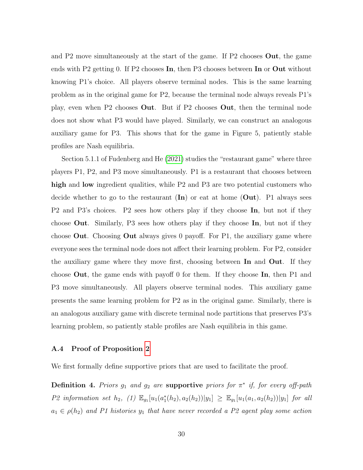and P2 move simultaneously at the start of the game. If P2 chooses Out, the game ends with P2 getting 0. If P2 chooses In, then P3 chooses between In or Out without knowing P1's choice. All players observe terminal nodes. This is the same learning problem as in the original game for P2, because the terminal node always reveals P1's play, even when P2 chooses Out. But if P2 chooses Out, then the terminal node does not show what P3 would have played. Similarly, we can construct an analogous auxiliary game for P3. This shows that for the game in Figure 5, patiently stable profiles are Nash equilibria.

Section 5.1.1 of Fudenberg and He [\(2021\)](#page-24-17) studies the "restaurant game" where three players P1, P2, and P3 move simultaneously. P1 is a restaurant that chooses between high and low ingredient qualities, while P2 and P3 are two potential customers who decide whether to go to the restaurant  $(\text{In})$  or eat at home  $(\text{Out})$ . P1 always sees P2 and P3's choices. P2 sees how others play if they choose In, but not if they choose Out. Similarly, P3 sees how others play if they choose In, but not if they choose Out. Choosing Out always gives 0 payoff. For P1, the auxiliary game where everyone sees the terminal node does not affect their learning problem. For P2, consider the auxiliary game where they move first, choosing between In and Out. If they choose Out, the game ends with payoff 0 for them. If they choose In, then P1 and P3 move simultaneously. All players observe terminal nodes. This auxiliary game presents the same learning problem for P2 as in the original game. Similarly, there is an analogous auxiliary game with discrete terminal node partitions that preserves P3's learning problem, so patiently stable profiles are Nash equilibria in this game.

#### <span id="page-30-0"></span>A.4 Proof of Proposition [2](#page-14-1)

We first formally define supportive priors that are used to facilitate the proof.

**Definition 4.** Priors  $g_1$  and  $g_2$  are supportive priors for  $\pi^*$  if, for every off-path P2 information set  $h_2$ , (1)  $\mathbb{E}_{g_1}[u_1(a_1^*(h_2), a_2(h_2))|y_1] \geq \mathbb{E}_{g_1}[u_1(a_1, a_2(h_2))|y_1]$  for all  $a_1 \in \rho(h_2)$  and P1 histories  $y_1$  that have never recorded a P2 agent play some action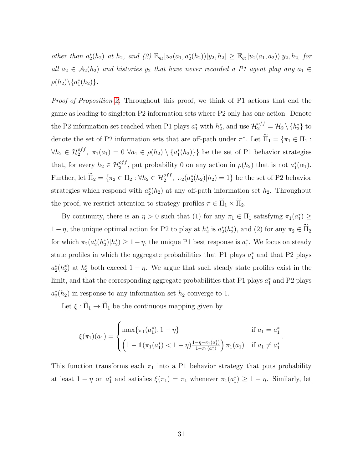other than  $a_2^*(h_2)$  at  $h_2$ , and  $(2) \mathbb{E}_{g_2}[u_2(a_1, a_2^*(h_2))]y_2, h_2] \geq \mathbb{E}_{g_2}[u_2(a_1, a_2))]y_2, h_2]$  for all  $a_2 \in \mathcal{A}_2(h_2)$  and histories  $y_2$  that have never recorded a P1 agent play any  $a_1 \in$  $\rho(h_2)\backslash \{a_1^*(h_2)\}.$ 

Proof of Proposition [2.](#page-14-1) Throughout this proof, we think of P1 actions that end the game as leading to singleton P2 information sets where P2 only has one action. Denote the P2 information set reached when P1 plays  $a_1^*$  with  $h_2^*$ , and use  $\mathcal{H}_2^{off} = \mathcal{H}_2 \setminus \{h_2^*\}$  to denote the set of P2 information sets that are off-path under  $\pi^*$ . Let  $\Pi_1 = {\pi_1 \in \Pi_1 : \pi_2 \in \Pi_2}$  $\forall h_2 \in \mathcal{H}_2^{off}, \ \pi_1(a_1) = 0 \ \forall a_1 \in \rho(h_2) \setminus \{a_1^*(h_2)\}\}\$ be the set of P1 behavior strategies that, for every  $h_2 \in \mathcal{H}_2^{off}$ , put probability 0 on any action in  $\rho(h_2)$  that is not  $a_1^*(\alpha_1)$ . Further, let  $\widetilde{\Pi}_2 = \{ \pi_2 \in \Pi_2 : \forall h_2 \in \mathcal{H}_2^{off}, \ \pi_2(a_2^*(h_2)|h_2) = 1 \}$  be the set of P2 behavior strategies which respond with  $a_2^*(h_2)$  at any off-path information set  $h_2$ . Throughout the proof, we restrict attention to strategy profiles  $\pi \in \widetilde{\Pi}_1 \times \widetilde{\Pi}_2$ .

By continuity, there is an  $\eta > 0$  such that (1) for any  $\pi_1 \in \Pi_1$  satisfying  $\pi_1(a_1^*) \geq$  $1 - \eta$ , the unique optimal action for P2 to play at  $h_2^*$  is  $a_2^*(h_2^*)$ , and (2) for any  $\pi_2 \in \tilde{\Pi}_2$ for which  $\pi_2(a_2^*(h_2^*)|h_2^*) \geq 1-\eta$ , the unique P1 best response is  $a_1^*$ . We focus on steady state profiles in which the aggregate probabilities that P1 plays  $a_1^*$  and that P2 plays  $a_2^*(h_2^*)$  at  $h_2^*$  both exceed  $1-\eta$ . We argue that such steady state profiles exist in the limit, and that the corresponding aggregate probabilities that P1 plays  $a_1^*$  and P2 plays  $a_2^*(h_2)$  in response to any information set  $h_2$  converge to 1.

Let  $\xi : \widetilde{\Pi}_1 \to \widetilde{\Pi}_1$  be the continuous mapping given by

$$
\xi(\pi_1)(a_1) = \begin{cases} \max\{\pi_1(a_1^*), 1 - \eta\} & \text{if } a_1 = a_1^*\\ \left(1 - \mathbb{1}(\pi_1(a_1^*) < 1 - \eta\right) \frac{1 - \eta - \pi_1(a_1^*)}{1 - \pi_1(a_1^*)}\right) \pi_1(a_1) & \text{if } a_1 \neq a_1^* \end{cases}
$$

.

This function transforms each  $\pi_1$  into a P1 behavior strategy that puts probability at least  $1 - \eta$  on  $a_1^*$  and satisfies  $\xi(\pi_1) = \pi_1$  whenever  $\pi_1(a_1^*) \geq 1 - \eta$ . Similarly, let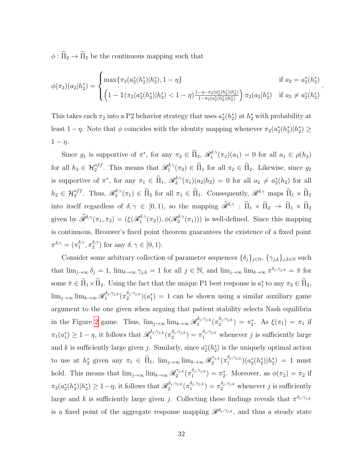$\phi : \widetilde{\Pi}_2 \to \widetilde{\Pi}_2$  be the continuous mapping such that

$$
\phi(\pi_2)(a_2|h_2^*) = \begin{cases} \max\{\pi_2(a_2^*(h_2^*)|h_2^*), 1-\eta\} & \text{if } a_2 = a_2^*(h_2^*)\\ \left(1 - \mathbb{1}(\pi_2(a_2^*(h_2^*)|h_2^*) < 1-\eta\right) \frac{1-\eta-\pi_2(a_2^*(h_2^*)|h_2^*)}{1-\pi_2(a_2^*(h_2^*)|h_2^*)}\right) \pi_2(a_2|h_2^*) & \text{if } a_2 \neq a_2^*(h_2^*) \end{cases}
$$

.

This takes each  $\pi_2$  into a P2 behavior strategy that uses  $a_2^*(h_2^*)$  at  $h_2^*$  with probability at least 1 – η. Note that  $\phi$  coincides with the identity mapping whenever  $\pi_2(a_2^*(h_2^*)|h_2^*) \ge$  $1 - \eta$ .

Since  $g_1$  is supportive of  $\pi^*$ , for any  $\pi_2 \in \widetilde{\Pi}_2$ ,  $\mathcal{R}_1^{\delta,\gamma}$  $a_1^{\sigma,\gamma}(\pi_2)(a_1) = 0$  for all  $a_1 \in \rho(h_2)$ for all  $h_2 \in \mathcal{H}_2^{off}$ . This means that  $\mathscr{R}_1^{\delta,\gamma}$  $t_1^{\delta,\gamma}(\pi_2) \in \Pi_1$  for all  $\pi_2 \in \Pi_2$ . Likewise, since  $g_2$ is supportive of  $\pi^*$ , for any  $\pi_1 \in \widetilde{\Pi}_1$ ,  $\mathscr{R}_2^{\delta,\gamma}$  $a_2^{(b, \gamma)}(\pi_1)(a_2|h_2) = 0$  for all  $a_2 \neq a_2^*(h_2)$  for all  $h_2 \in \mathcal{H}_2^{off}$ . Thus,  $\mathscr{R}_2^{\delta,\gamma}$  $(2^{6,\gamma}(\pi_1) \in \Pi_2 \text{ for all } \pi_1 \in \Pi_1.$  Consequently,  $\mathscr{R}^{\delta,\gamma}$  maps  $\Pi_1 \times \Pi_2$ into itself regardless of  $\delta, \gamma \in [0, 1)$ , so the mapping  $\widetilde{\mathscr{R}}^{\delta, \gamma} : \widetilde{\Pi}_1 \times \widetilde{\Pi}_2 \to \widetilde{\Pi}_1 \times \widetilde{\Pi}_2$ given by  $\widetilde{\mathscr{R}}^{\delta,\gamma}(\pi_1,\pi_2) = (\xi(\mathscr{R}_1^{\delta,\gamma}))$  $(\delta,\gamma(\pi_2)),\phi(\mathscr{R}^{\delta,\gamma}_2)$  $\binom{a_0, a_1}{2}$  is well-defined. Since this mapping is continuous, Brouwer's fixed point theorem guarantees the existence of a fixed point  $\pi^{\delta,\gamma}=(\pi_1^{\delta,\gamma}$  $\frac{\delta,\gamma}{1},\pi_2^{\delta,\gamma}$  $\binom{0, \gamma}{2}$  for any  $\delta, \gamma \in [0, 1)$ .

Consider some arbitrary collection of parameter sequences  $\{\delta_j\}_{j\in\mathbb{N}}, \{\gamma_{j,k}\}_{j,k\in\mathbb{N}}$  such that  $\lim_{j\to\infty} \delta_j = 1$ ,  $\lim_{k\to\infty} \gamma_{j,k} = 1$  for all  $j \in \mathbb{N}$ , and  $\lim_{j\to\infty} \lim_{k\to\infty} \pi^{\delta_j,\gamma_{j,k}} = \hat{\pi}$  for some  $\hat{\pi} \in \Pi_1 \times \Pi_2$ . Using the fact that the unique P1 best response is  $a_1^*$  to any  $\pi_2 \in \Pi_2$ ,  $\lim_{j\to\infty}\lim_{k\to\infty}\mathscr{R}_1^{\delta_j,\gamma_{j,k}}$  $\stackrel{\delta_j,\gamma_{j,k}}{1}(\pi_2^{\delta_j,\gamma_{j,k}})$  $\binom{\delta_j,\gamma_{j,k}}{2}$  ( $a_1^*$ ) = 1 can be shown using a similar auxiliary game argument to the one given when arguing that patient stability selects Nash equilibria in the Figure [2](#page-6-0) game. Thus,  $\lim_{j\to\infty} \lim_{k\to\infty} \mathscr{R}_1^{\delta_j,\gamma_{j,k}}$  $\stackrel{\delta_j,\gamma_{j,k}}{1}(\pi_2^{\delta_j,\gamma_{j,k}}$  $(\hat{a}_j, \gamma_{j,k}) = \pi_1^*$ . As  $\xi(\pi_1) = \pi_1$  if  $\pi_1(a_1^*) \geq 1 - \eta$ , it follows that  $\mathscr{R}_1^{\delta_j, \gamma_{j,k}}$  $\frac{\delta_j,\gamma_{j,k}}{1} \big(\pi_2^{\delta_j,\gamma_{j,k}}$  $\binom{\delta_j,\gamma_{j,k}}{2} = \pi_1^{\delta_j,\gamma_{j,k}}$  whenever j is sufficiently large and k is sufficiently large given j. Similarly, since  $a_2^*(h_2^*)$  is the uniquely optimal action to use at  $h_2^*$  given any  $\pi_1 \in \tilde{\Pi}_1$ ,  $\lim_{j \to \infty} \lim_{k \to \infty} \mathscr{R}_2^{\gamma_{j,k}}$  $\frac{\gamma_{j,k}}{2}(\pi_1^{\delta_j,\gamma_{j,k}}$  $\binom{a_j,\gamma_{j,k}}{1}$  $\left(a_2^*(h_2^*)|h_2^*\right) = 1$  must hold. This means that  $\lim_{j\to\infty} \lim_{k\to\infty} \mathcal{R}_2^{\gamma_{j,k}}$  $\frac{\gamma_{j,k}}{2}(\pi_1^{\delta_j,\gamma_{j,k}})$  $\eta_1^{\delta_j,\gamma_{j,k}}$  =  $\pi_2^*$ . Moreover, as  $\phi(\pi_2) = \pi_2$  if  $\pi_2(a_2^*(h_2^*)|h_2^*) \geq 1-\eta$ , it follows that  $\mathscr{R}_2^{\delta_j,\gamma_{j,k}}$  $\frac{\delta_j,\gamma_{j,k}}{2}\Big(\pi_1^{\delta_j,\gamma_{j,k}}$  $\binom{\delta_j,\gamma_{j,k}}{1} = \pi_2^{\delta_j,\gamma_{j,k}}$  whenever j is sufficiently large and k is sufficiently large given j. Collecting these findings reveals that  $\pi^{\delta_j,\gamma_{j,k}}$ is a fixed point of the aggregate response mapping  $\mathscr{R}^{\delta_j,\gamma_{j,k}}$ , and thus a steady state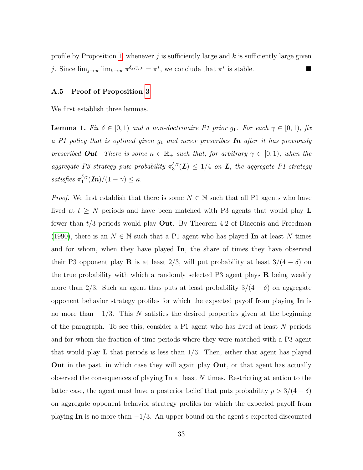profile by Proposition [1,](#page-12-0) whenever j is sufficiently large and k is sufficiently large given j. Since  $\lim_{j\to\infty} \lim_{k\to\infty} \pi^{\delta_j,\gamma_{j,k}} = \pi^*$ , we conclude that  $\pi^*$  is stable.

#### <span id="page-33-0"></span>A.5 Proof of Proposition [3](#page-15-1)

We first establish three lemmas.

<span id="page-33-1"></span>**Lemma 1.** Fix  $\delta \in [0,1)$  and a non-doctrinaire P1 prior  $g_1$ . For each  $\gamma \in [0,1)$ , fix a P1 policy that is optimal given  $g_1$  and never prescribes **In** after it has previously prescribed **Out**. There is some  $\kappa \in \mathbb{R}_+$  such that, for arbitrary  $\gamma \in [0,1)$ , when the aggregate P3 strategy puts probability  $\pi_3^{\delta,\gamma}$  $\binom{3\gamma}{3}$ (**L**)  $\leq 1/4$  on **L**, the aggregate P1 strategy satisfies  $\pi_1^{\delta,\gamma}$  $\int_1^{0,\gamma} (\bm{In})/(1-\gamma) \leq \kappa.$ 

*Proof.* We first establish that there is some  $N \in \mathbb{N}$  such that all P1 agents who have lived at  $t \geq N$  periods and have been matched with P3 agents that would play L fewer than  $t/3$  periods would play Out. By Theorem 4.2 of Diaconis and Freedman [\(1990\)](#page-24-11), there is an  $N \in \mathbb{N}$  such that a P1 agent who has played In at least N times and for whom, when they have played In, the share of times they have observed their P3 opponent play **R** is at least 2/3, will put probability at least  $3/(4 - \delta)$  on the true probability with which a randomly selected P3 agent plays  $\bf{R}$  being weakly more than 2/3. Such an agent thus puts at least probability  $3/(4 - \delta)$  on aggregate opponent behavior strategy profiles for which the expected payoff from playing In is no more than  $-1/3$ . This N satisfies the desired properties given at the beginning of the paragraph. To see this, consider a  $P1$  agent who has lived at least N periods and for whom the fraction of time periods where they were matched with a P3 agent that would play  $\bf{L}$  that periods is less than  $1/3$ . Then, either that agent has played Out in the past, in which case they will again play Out, or that agent has actually observed the consequences of playing  $\text{In }$  at least N times. Restricting attention to the latter case, the agent must have a posterior belief that puts probability  $p > 3/(4 - \delta)$ on aggregate opponent behavior strategy profiles for which the expected payoff from playing In is no more than  $-1/3$ . An upper bound on the agent's expected discounted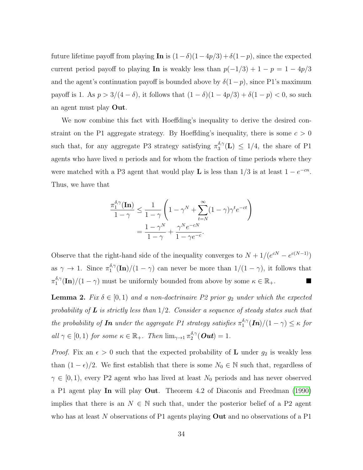future lifetime payoff from playing In is  $(1-\delta)(1-4p/3)+\delta(1-p)$ , since the expected current period payoff to playing In is weakly less than  $p(-1/3) + 1 - p = 1 - 4p/3$ and the agent's continuation payoff is bounded above by  $\delta(1-p)$ , since P1's maximum payoff is 1. As  $p > 3/(4 - \delta)$ , it follows that  $(1 - \delta)(1 - 4p/3) + \delta(1 - p) < 0$ , so such an agent must play Out.

We now combine this fact with Hoeffding's inequality to derive the desired constraint on the P1 aggregate strategy. By Hoeffding's inequality, there is some  $c > 0$ such that, for any aggregate P3 strategy satisfying  $\pi_3^{\delta,\gamma}$  $^{0,\gamma}_{3}(\mathbf{L}) \leq 1/4$ , the share of P1 agents who have lived  $n$  periods and for whom the fraction of time periods where they were matched with a P3 agent that would play **L** is less than  $1/3$  is at least  $1 - e^{-cn}$ . Thus, we have that

$$
\frac{\pi_1^{\delta,\gamma}(\mathbf{In})}{1-\gamma} \le \frac{1}{1-\gamma} \left(1 - \gamma^N + \sum_{t=N}^{\infty} (1-\gamma)\gamma^t e^{-ct}\right)
$$

$$
= \frac{1-\gamma^N}{1-\gamma} + \frac{\gamma^N e^{-cN}}{1-\gamma e^{-c}}.
$$

Observe that the right-hand side of the inequality converges to  $N + 1/(e^{cN} - e^{c(N-1)})$ as  $\gamma \to 1$ . Since  $\pi_1^{\delta,\gamma}$  $\int_{1}^{\delta,\gamma}$ (In)/(1 –  $\gamma$ ) can never be more than  $1/(1 - \gamma)$ , it follows that  $\pi _{1}^{\delta ,\gamma }$  $\frac{\delta_1 \gamma(\text{In})}{(1 - \gamma)}$  must be uniformly bounded from above by some  $\kappa \in \mathbb{R}_+$ .

<span id="page-34-0"></span>**Lemma 2.** Fix  $\delta \in [0,1)$  and a non-doctrinaire P2 prior  $g_2$  under which the expected probability of  $\bf{L}$  is strictly less than  $1/2$ . Consider a sequence of steady states such that the probability of **In** under the aggregate P1 strategy satisfies  $\pi_1^{\delta,\gamma}$  $\int_1^{0,\gamma} (\bm{In})/(1-\gamma) \leq \kappa$  for all  $\gamma \in [0,1)$  for some  $\kappa \in \mathbb{R}_+$ . Then  $\lim_{\gamma \to 1} \pi_2^{\delta,\gamma}$  $\frac{a, \gamma}{2}$  (  $\bm{Out}$  )  $=1$  .

*Proof.* Fix an  $\epsilon > 0$  such that the expected probability of **L** under  $g_2$  is weakly less than  $(1 - \epsilon)/2$ . We first establish that there is some  $N_0 \in \mathbb{N}$  such that, regardless of  $\gamma \in [0, 1)$ , every P2 agent who has lived at least  $N_0$  periods and has never observed a P1 agent play In will play Out. Theorem 4.2 of Diaconis and Freedman [\(1990\)](#page-24-11) implies that there is an  $N \in \mathbb{N}$  such that, under the posterior belief of a P2 agent who has at least N observations of P1 agents playing **Out** and no observations of a P1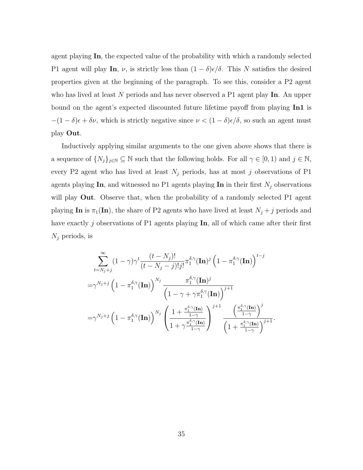agent playing In, the expected value of the probability with which a randomly selected P1 agent will play In,  $\nu$ , is strictly less than  $(1 - \delta)\epsilon/\delta$ . This N satisfies the desired properties given at the beginning of the paragraph. To see this, consider a P2 agent who has lived at least N periods and has never observed a P1 agent play In. An upper bound on the agent's expected discounted future lifetime payoff from playing In1 is  $-(1 - \delta)\epsilon + \delta \nu$ , which is strictly negative since  $\nu < (1 - \delta)\epsilon/\delta$ , so such an agent must play Out.

Inductively applying similar arguments to the one given above shows that there is a sequence of  $\{N_j\}_{j\in\mathbb{N}}\subseteq\mathbb{N}$  such that the following holds. For all  $\gamma\in[0,1)$  and  $j\in\mathbb{N}$ , every P2 agent who has lived at least  $N_j$  periods, has at most j observations of P1 agents playing In, and witnessed no P1 agents playing In in their first  $N_j$  observations will play **Out**. Observe that, when the probability of a randomly selected P1 agent playing In is  $\pi_1(\text{In})$ , the share of P2 agents who have lived at least  $N_j + j$  periods and have exactly  $j$  observations of P1 agents playing  $\text{In}$ , all of which came after their first  $N_j$  periods, is

$$
\sum_{t=N_j+j}^{\infty} (1-\gamma)\gamma^t \frac{(t-N_j)!}{(t-N_j-j)!j!} \pi_1^{\delta,\gamma}(\mathbf{In})^j \left(1-\pi_1^{\delta,\gamma}(\mathbf{In})\right)^{t-j}
$$
  

$$
=\gamma^{N_j+j} \left(1-\pi_1^{\delta,\gamma}(\mathbf{In})\right)^{N_j} \frac{\pi_1^{\delta,\gamma}(\mathbf{In})^j}{\left(1-\gamma+\gamma\pi_1^{\delta,\gamma}(\mathbf{In})\right)^{j+1}}
$$
  

$$
=\gamma^{N_j+j} \left(1-\pi_1^{\delta,\gamma}(\mathbf{In})\right)^{N_j} \left(\frac{1+\frac{\pi_1^{\delta,\gamma}(\mathbf{In})}{1-\gamma}}{1+\gamma\frac{\pi_1^{\delta,\gamma}(\mathbf{In})}{1-\gamma}}\right)^{j+1} \frac{\left(\frac{\pi_1^{\delta,\gamma}(\mathbf{In})}{1-\gamma}\right)^j}{\left(1+\frac{\pi_1^{\delta,\gamma}(\mathbf{In})}{1-\gamma}\right)^{j+1}}.
$$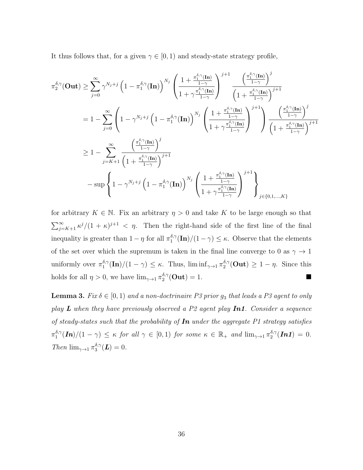It thus follows that, for a given  $\gamma \in [0, 1)$  and steady-state strategy profile,

$$
\begin{split} &\pi_2^{\delta,\gamma}(\mathbf{Out}) \geq \sum_{j=0}^{\infty}\gamma^{N_j+j}\left(1-\pi_1^{\delta,\gamma}(\mathbf{In})\right)^{N_j}\left(\frac{1+\frac{\pi_1^{\delta,\gamma}(\mathbf{In})}{1-\gamma}}{1+\gamma\frac{\pi_1^{\delta,\gamma}(\mathbf{In})}{1-\gamma}}\right)^{j+1}\frac{\left(\frac{\pi_1^{\delta,\gamma}(\mathbf{In})}{1-\gamma}\right)^j}{\left(1+\frac{\pi_1^{\delta,\gamma}(\mathbf{In})}{1-\gamma}\right)^{j+1}}\\ &=1-\sum_{j=0}^{\infty}\left(1-\gamma^{N_j+j}\left(1-\pi_1^{\delta,\gamma}(\mathbf{In})\right)^{N_j}\left(\frac{1+\frac{\pi_1^{\delta,\gamma}(\mathbf{In})}{1-\gamma}}{1+\gamma\frac{\pi_1^{\delta,\gamma}(\mathbf{In})}{1-\gamma}}\right)^{j+1}\right)\frac{\left(\frac{\pi_1^{\delta,\gamma}(\mathbf{In})}{1-\gamma}\right)^j}{\left(1+\frac{\pi_1^{\delta,\gamma}(\mathbf{In})}{1-\gamma}\right)^{j+1}}\\ &\geq 1-\sum_{j=K+1}^{\infty}\frac{\left(\frac{\pi_1^{\delta,\gamma}(\mathbf{In})}{1-\gamma}\right)^j}{\left(1+\frac{\pi_1^{\delta,\gamma}(\mathbf{In})}{1-\gamma}\right)^{j+1}}\\ &-\sup\left\{1-\gamma^{N_j+j}\left(1-\pi_1^{\delta,\gamma}(\mathbf{In})\right)^{N_j}\left(\frac{1+\frac{\pi_1^{\delta,\gamma}(\mathbf{In})}{1-\gamma}}{1+\gamma\frac{\pi_1^{\delta,\gamma}(\mathbf{In})}{1-\gamma}}\right)^{j+1}\right\}_{j\in\{0,1,\ldots,K\}}\end{split}
$$

for arbitrary  $K \in \mathbb{N}$ . Fix an arbitrary  $\eta > 0$  and take K to be large enough so that  $\sum_{j=K+1}^{\infty} \frac{\kappa^j}{(1+\kappa)^{j+1}} < \eta$ . Then the right-hand side of the first line of the final inequality is greater than  $1 - \eta$  for all  $\pi_1^{\delta, \gamma}$  $\binom{\delta,\gamma}{1}$  (In)/(1 –  $\gamma$ )  $\leq \kappa$ . Observe that the elements of the set over which the supremum is taken in the final line converge to 0 as  $\gamma \to 1$ uniformly over  $\pi_1^{\delta,\gamma}$  $\int_1^{\delta,\gamma} (\mathbf{In})/(1-\gamma) \leq \kappa$ . Thus,  $\liminf_{\gamma \to 1} \pi_2^{\delta,\gamma}$  $e_2^{\delta,\gamma}(\text{Out}) \geq 1 - \eta$ . Since this holds for all  $\eta > 0$ , we have  $\lim_{\gamma \to 1} \pi_2^{\delta, \gamma}$  $\frac{\delta,\gamma}{2}(\text{Out}) = 1.$ 

<span id="page-36-0"></span>**Lemma 3.** Fix  $\delta \in [0, 1)$  and a non-doctrinaire P3 prior  $g_3$  that leads a P3 agent to only play  $L$  when they have previously observed a P2 agent play  $In1$ . Consider a sequence of steady-states such that the probability of  $\textit{In}$  under the aggregate P1 strategy satisfies  $\pi _{1}^{\delta ,\gamma }$  $\int_1^{\delta,\gamma} (\mathbf{In})/(1-\gamma) \leq \kappa$  for all  $\gamma \in [0,1)$  for some  $\kappa \in \mathbb{R}_+$  and  $\lim_{\gamma \to 1} \pi_2^{\delta,\gamma}$  $i_2^{\mathfrak{a},\gamma}(\bm{In1})\,=\,0.$ Then  $\lim_{\gamma \to 1} \pi_3^{\delta,\gamma}$  $_{3}^{\circ,\gamma}(\bm{L})=0.$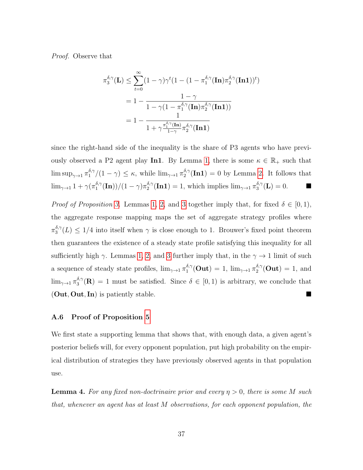Proof. Observe that

$$
\pi_3^{\delta,\gamma}(\mathbf{L}) \le \sum_{t=0}^{\infty} (1-\gamma)\gamma^t (1 - (1 - \pi_1^{\delta,\gamma}(\mathbf{In})\pi_2^{\delta,\gamma}(\mathbf{In}1))^t)
$$
  
= 
$$
1 - \frac{1 - \gamma}{1 - \gamma(1 - \pi_1^{\delta,\gamma}(\mathbf{In})\pi_2^{\delta,\gamma}(\mathbf{In}1))}
$$
  
= 
$$
1 - \frac{1}{1 + \gamma \frac{\pi_1^{\delta,\gamma}(\mathbf{In})}{1 - \gamma} \pi_2^{\delta,\gamma}(\mathbf{In}1)}
$$

since the right-hand side of the inequality is the share of P3 agents who have previ-ously observed a P2 agent play In1. By Lemma [1,](#page-33-1) there is some  $\kappa \in \mathbb{R}_+$  such that  $\limsup_{\gamma\rightarrow 1}\pi_1^{\delta,\gamma}$  $\int_1^{\delta,\gamma}/(1-\gamma) \leq \kappa$ , while  $\lim_{\gamma\to 1} \pi_2^{\delta,\gamma}$  $e_2^{\delta,\gamma}(\textbf{In1}) = 0$  by Lemma [2.](#page-34-0) It follows that  $\lim_{\gamma\to 1} 1+\gamma(\pi_1^{\delta,\gamma})$  $\frac{(\delta,\gamma)}{1}(\mathbf{In}))/ (1-\gamma) \pi_2^{\delta,\gamma}$  $\ell_2^{\delta,\gamma}(\mathbf{In1}) = 1$ , which implies  $\lim_{\gamma \to 1} \pi_3^{\delta,\gamma}$  $\frac{\delta,\gamma}{3}(\mathbf{L})=0.$ 

*Proof of Proposition [3.](#page-15-1)* Lemmas [1,](#page-33-1) [2,](#page-34-0) and [3](#page-36-0) together imply that, for fixed  $\delta \in [0,1)$ , the aggregate response mapping maps the set of aggregate strategy profiles where  $\pi_3^{\delta,\gamma}$  $\binom{3}{3}$ <sup>o</sup>, $\gamma(L) \leq 1/4$  into itself when  $\gamma$  is close enough to 1. Brouwer's fixed point theorem then guarantees the existence of a steady state profile satisfying this inequality for all sufficiently high  $\gamma$ . Lemmas [1,](#page-33-1) [2,](#page-34-0) and [3](#page-36-0) further imply that, in the  $\gamma \rightarrow 1$  limit of such a sequence of steady state profiles,  $\lim_{\gamma \to 1} \pi_1^{\delta,\gamma}$  $\int_1^{\delta,\gamma} (\mathbf{Out}) \,=\, 1, \ \lim_{\gamma \rightarrow 1} \pi_2^{\delta,\gamma}$  $i_2^{\sigma,\gamma}(\text{Out}) = 1$ , and  $\lim_{\gamma \to 1} \pi_3^{\delta, \gamma}$  $\delta_3^{\delta,\gamma}(\mathbf{R}) = 1$  must be satisfied. Since  $\delta \in [0,1)$  is arbitrary, we conclude that (Out, Out, In) is patiently stable.

#### <span id="page-37-0"></span>A.6 Proof of Proposition [5](#page-18-0)

We first state a supporting lemma that shows that, with enough data, a given agent's posterior beliefs will, for every opponent population, put high probability on the empirical distribution of strategies they have previously observed agents in that population use.

<span id="page-37-1"></span>**Lemma 4.** For any fixed non-doctrinaire prior and every  $\eta > 0$ , there is some M such that, whenever an agent has at least M observations, for each opponent population, the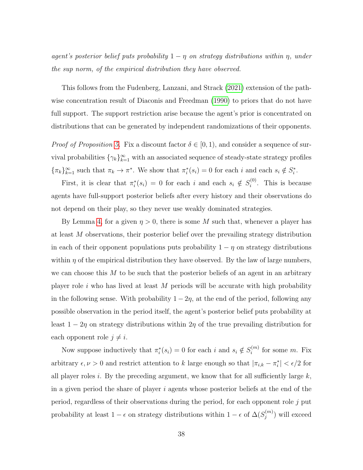agent's posterior belief puts probability  $1 - \eta$  on strategy distributions within  $\eta$ , under the sup norm, of the empirical distribution they have observed.

This follows from the Fudenberg, Lanzani, and Strack [\(2021\)](#page-24-12) extension of the pathwise concentration result of Diaconis and Freedman [\(1990\)](#page-24-11) to priors that do not have full support. The support restriction arise because the agent's prior is concentrated on distributions that can be generated by independent randomizations of their opponents.

*Proof of Proposition [5.](#page-18-0)* Fix a discount factor  $\delta \in [0,1)$ , and consider a sequence of survival probabilities  $\{\gamma_k\}_{k=1}^{\infty}$  with an associated sequence of steady-state strategy profiles  ${\{\pi_k\}}_{k=1}^{\infty}$  such that  $\pi_k \to \pi^*$ . We show that  $\pi_i^*(s_i) = 0$  for each i and each  $s_i \notin S_i^*$ .

First, it is clear that  $\pi_i^*(s_i) = 0$  for each i and each  $s_i \notin S_i^{(0)}$  $i^{(0)}$ . This is because agents have full-support posterior beliefs after every history and their observations do not depend on their play, so they never use weakly dominated strategies.

By Lemma [4,](#page-37-1) for a given  $\eta > 0$ , there is some M such that, whenever a player has at least M observations, their posterior belief over the prevailing strategy distribution in each of their opponent populations puts probability  $1 - \eta$  on strategy distributions within  $\eta$  of the empirical distribution they have observed. By the law of large numbers, we can choose this  $M$  to be such that the posterior beliefs of an agent in an arbitrary player role i who has lived at least M periods will be accurate with high probability in the following sense. With probability  $1 - 2\eta$ , at the end of the period, following any possible observation in the period itself, the agent's posterior belief puts probability at least  $1 - 2\eta$  on strategy distributions within  $2\eta$  of the true prevailing distribution for each opponent role  $j \neq i$ .

Now suppose inductively that  $\pi_i^*(s_i) = 0$  for each i and  $s_i \notin S_i^{(m)}$  $i^{(m)}$  for some m. Fix arbitrary  $\epsilon, \nu > 0$  and restrict attention to k large enough so that  $|\pi_{i,k} - \pi_i^*| < \epsilon/2$  for all player roles i. By the preceding argument, we know that for all sufficiently large  $k$ , in a given period the share of player  $i$  agents whose posterior beliefs at the end of the period, regardless of their observations during the period, for each opponent role j put probability at least  $1 - \epsilon$  on strategy distributions within  $1 - \epsilon$  of  $\Delta(S_i^{(m)})$  $j^{(m)}$ ) will exceed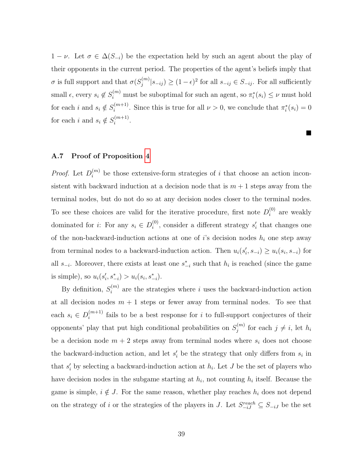$1 - \nu$ . Let  $\sigma \in \Delta(S_{-i})$  be the expectation held by such an agent about the play of their opponents in the current period. The properties of the agent's beliefs imply that  $\sigma$  is full support and that  $\sigma(S_i^{(m)})$  $\sum_{j=0}^{(m)} |s_{-ij}\rangle \ge (1-\epsilon)^2$  for all  $s_{-ij} \in S_{-ij}$ . For all sufficiently small  $\epsilon$ , every  $s_i \notin S_i^{(m)}$  must be suboptimal for such an agent, so  $\pi_i^*(s_i) \leq \nu$  must hold for each *i* and  $s_i \notin S_i^{(m+1)}$  $i^{(m+1)}$ . Since this is true for all  $\nu > 0$ , we conclude that  $\pi_i^*(s_i) = 0$ for each *i* and  $s_i \notin S_i^{(m+1)}$  $i^{(m+1)}$ .

 $\blacksquare$ 

#### <span id="page-39-0"></span>A.7 Proof of Proposition [4](#page-17-0)

*Proof.* Let  $D_i^{(m)}$  be those extensive-form strategies of i that choose an action inconsistent with backward induction at a decision node that is  $m + 1$  steps away from the terminal nodes, but do not do so at any decision nodes closer to the terminal nodes. To see these choices are valid for the iterative procedure, first note  $D_i^{(0)}$  $i^{(0)}$  are weakly dominated for *i*: For any  $s_i \in D_i^{(0)}$  $i^{(0)}$ , consider a different strategy  $s'_i$  that changes one of the non-backward-induction actions at one of i's decision nodes  $h_i$  one step away from terminal nodes to a backward-induction action. Then  $u_i(s'_i, s_{-i}) \ge u_i(s_i, s_{-i})$  for all  $s_{-i}$ . Moreover, there exists at least one  $s_{-i}^*$  such that  $h_i$  is reached (since the game is simple), so  $u_i(s'_i, s^*_{-i}) > u_i(s_i, s^*_{-i}).$ 

By definition,  $S_i^{(m)}$  $i^{(m)}$  are the strategies where i uses the backward-induction action at all decision nodes  $m + 1$  steps or fewer away from terminal nodes. To see that each  $s_i \in D_i^{(m+1)}$  $i^{(m+1)}$  fails to be a best response for i to full-support conjectures of their opponents' play that put high conditional probabilities on  $S_i^{(m)}$  $j^{(m)}$  for each  $j \neq i$ , let  $h_i$ be a decision node  $m + 2$  steps away from terminal nodes where  $s_i$  does not choose the backward-induction action, and let  $s_i'$  be the strategy that only differs from  $s_i$  in that  $s_i'$  by selecting a backward-induction action at  $h_i$ . Let J be the set of players who have decision nodes in the subgame starting at  $h_i$ , not counting  $h_i$  itself. Because the game is simple,  $i \notin J$ . For the same reason, whether play reaches  $h_i$  does not depend on the strategy of i or the strategies of the players in J. Let  $S_{-iJ}^{reach} \subseteq S_{-iJ}$  be the set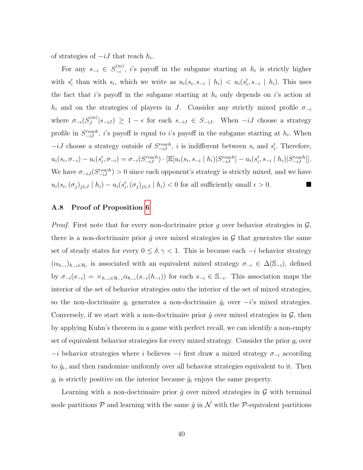of strategies of  $-iJ$  that reach  $h_i$ .

For any  $s_{-i} \in S_{-i}^{(m)}$  $\binom{m}{i}$ , *i*'s payoff in the subgame starting at  $h_i$  is strictly higher with  $s'_i$  than with  $s_i$ , which we write as  $u_i(s_i, s_{-i} \mid h_i) < u_i(s'_i, s_{-i} \mid h_i)$ . This uses the fact that i's payoff in the subgame starting at  $h_i$  only depends on i's action at  $h_i$  and on the strategies of players in J. Consider any strictly mixed profile  $\sigma_{-i}$ where  $\sigma_{-i}(S_j^{(m)})$  $|S_{-iJ}|$  $|S_{-iJ}| \geq 1 - \epsilon$  for each  $s_{-iJ} \in S_{-iJ}$ . When  $-iJ$  choose a strategy profile in  $S_{-iJ}^{reach}$ , i's payoff is equal to i's payoff in the subgame starting at  $h_i$ . When  $-iJ$  choose a strategy outside of  $S_{-iJ}^{reach}$ , i is indifferent between  $s_i$  and  $s'_i$ . Therefore,  $u_i(s_i, \sigma_{-i}) - u_i(s'_i, \sigma_{-i}) = \sigma_{-i}(S_{-iJ}^{reach}) \cdot [\mathbb{E}[u_i(s_i, s_{-i} | h_i) | S_{-iJ}^{reach}] - u_i(s'_i, s_{-i} | h_i) | S_{-iJ}^{reach}].$ We have  $\sigma_{-iJ}(S_{-iJ}^{reach}) > 0$  since each opponent's strategy is strictly mixed, and we have  $u_i(s_i, (\sigma_j)_{j\in J} | h_i) - u_i(s'_i, (\sigma_j)_{j\in J} | h_i) < 0$  for all sufficiently small  $\epsilon > 0$ .

## <span id="page-40-0"></span>A.8 Proof of Proposition [6](#page-20-2)

*Proof.* First note that for every non-doctrinaire prior  $g$  over behavior strategies in  $\mathcal{G}$ , there is a non-doctrinaire prior  $\hat{q}$  over mixed strategies in  $\mathcal{G}$  that generates the same set of steady states for every  $0 \leq \delta, \gamma < 1$ . This is because each  $-i$  behavior strategy  $(\alpha_{h_{-i}})_{h_{-i}\in\mathcal{H}_i}$  is associated with an equivalent mixed strategy  $\sigma_{-i} \in \Delta(\mathbb{S}_{-i}),$  defined by  $\sigma_{-i}(s_{-i}) = \times_{h_{-i} \in \mathcal{H}_{-i}} \alpha_{h_{-i}}(s_{-i}(h_{-i}))$  for each  $s_{-i} \in \mathbb{S}_{-i}$ . This association maps the interior of the set of behavior strategies onto the interior of the set of mixed strategies, so the non-doctrinaire  $g_i$  generates a non-doctrinaire  $\hat{g}_i$  over  $-i$ 's mixed strategies. Conversely, if we start with a non-doctrinaire prior  $\hat{g}$  over mixed strategies in  $\mathcal{G}$ , then by applying Kuhn's theorem in a game with perfect recall, we can identify a non-empty set of equivalent behavior strategies for every mixed strategy. Consider the prior  $g_i$  over  $-i$  behavior strategies where i believes  $-i$  first draw a mixed strategy  $\sigma_{-i}$  according to  $\hat{g}_i$ , and then randomize uniformly over all behavior strategies equivalent to it. Then  $g_i$  is strictly positive on the interior because  $\hat{g}_i$  enjoys the same property.

Learning with a non-doctrinaire prior  $\hat{g}$  over mixed strategies in  $\mathcal{G}$  with terminal node partitions  $\mathcal P$  and learning with the same  $\hat q$  in  $\mathcal N$  with the  $\mathcal P$ -equivalent partitions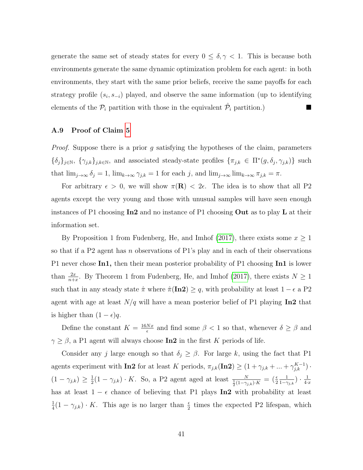generate the same set of steady states for every  $0 \leq \delta, \gamma < 1$ . This is because both environments generate the same dynamic optimization problem for each agent: in both environments, they start with the same prior beliefs, receive the same payoffs for each strategy profile  $(s_i, s_{-i})$  played, and observe the same information (up to identifying elements of the  $\mathcal{P}_i$  partition with those in the equivalent  $\hat{\mathcal{P}}_i$  partition.)

## <span id="page-41-0"></span>A.9 Proof of Claim [5](#page-22-0)

*Proof.* Suppose there is a prior g satisfying the hypotheses of the claim, parameters  $\{\delta_j\}_{j\in\mathbb{N}}, \{\gamma_{j,k}\}_{j,k\in\mathbb{N}},$  and associated steady-state profiles  $\{\pi_{j,k}\in\Pi^*(g,\delta_j,\gamma_{j,k})\}$  such that  $\lim_{j\to\infty} \delta_j = 1$ ,  $\lim_{k\to\infty} \gamma_{j,k} = 1$  for each j, and  $\lim_{j\to\infty} \lim_{k\to\infty} \pi_{j,k} = \pi$ .

For arbitrary  $\epsilon > 0$ , we will show  $\pi(\mathbf{R}) < 2\epsilon$ . The idea is to show that all P2 agents except the very young and those with unusual samples will have seen enough instances of P1 choosing  $In2$  and no instance of P1 choosing **Out** as to play **L** at their information set.

By Proposition 1 from Fudenberg, He, and Imhof [\(2017\)](#page-24-16), there exists some  $x \ge 1$ so that if a P2 agent has n observations of P1's play and in each of their observations P1 never chose In1, then their mean posterior probability of P1 choosing In1 is lower than  $\frac{2x}{n+x}$ . By Theorem 1 from Fudenberg, He, and Imhof [\(2017\)](#page-24-16), there exists  $N \ge 1$ such that in any steady state  $\hat{\pi}$  where  $\hat{\pi}(\textbf{In2}) \geq q$ , with probability at least  $1 - \epsilon$  a P2 agent with age at least  $N/q$  will have a mean posterior belief of P1 playing In2 that is higher than  $(1 - \epsilon)q$ .

Define the constant  $K = \frac{16Nx}{6}$  $\frac{Nx}{\epsilon}$  and find some  $\beta < 1$  so that, whenever  $\delta \ge \beta$  and  $\gamma \geq \beta,$ a P1 agent will always choose **In2** in the first  $K$  periods of life.

Consider any j large enough so that  $\delta_j \geq \beta$ . For large k, using the fact that P1 agents experiment with **In2** for at least K periods,  $\pi_{j,k}(\text{In2}) \geq (1 + \gamma_{j,k} + ... + \gamma_{j,k}^{K-1})$ .  $(1-\gamma_{j,k}) \geq \frac{1}{2}$  $\frac{1}{2}(1-\gamma_{j,k}) \cdot K$ . So, a P2 agent aged at least  $\frac{N}{\frac{1}{2}(1-\gamma_{j,k}) \cdot K} = \left(\frac{\epsilon}{2}\right)$ 1  $\frac{1}{1-\gamma_{j,k}}$ )  $\cdot$   $\frac{1}{4}$  $4·x$ has at least  $1 - \epsilon$  chance of believing that P1 plays In2 with probability at least 1  $\frac{1}{4}(1-\gamma_{j,k}) \cdot K$ . This age is no larger than  $\frac{\epsilon}{2}$  times the expected P2 lifespan, which